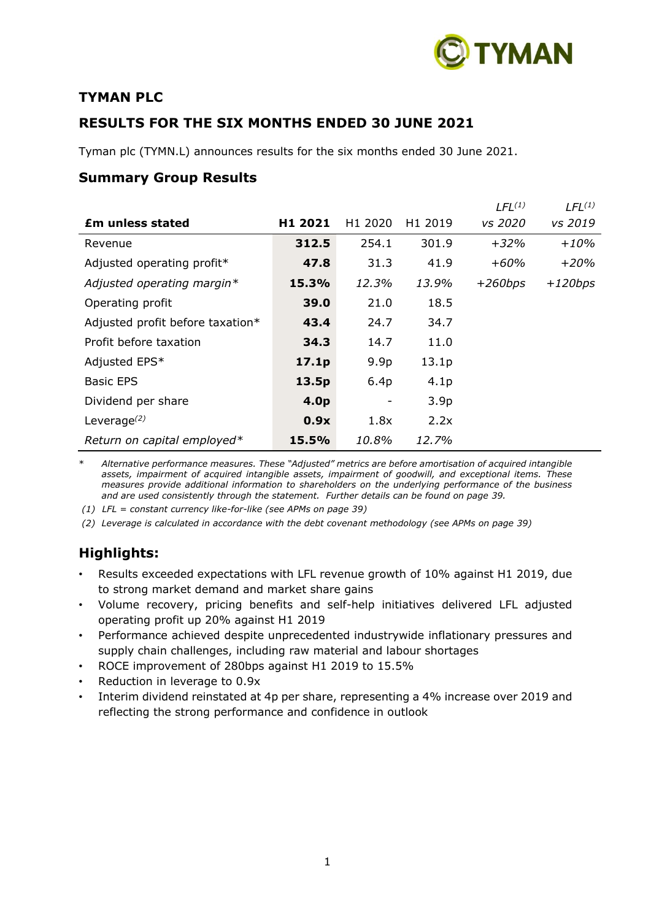

# **TYMAN PLC**

# **RESULTS FOR THE SIX MONTHS ENDED 30 JUNE 2021**

Tyman plc (TYMN.L) announces results for the six months ended 30 June 2021.

# **Summary Group Results**

|                                  |                  |                  |                     | $LFL^{(1)}$ | $LFL^{(1)}$ |
|----------------------------------|------------------|------------------|---------------------|-------------|-------------|
| <b>Em unless stated</b>          | H1 2021          | H1 2020          | H <sub>1</sub> 2019 | vs 2020     | vs 2019     |
| Revenue                          | 312.5            | 254.1            | 301.9               | $+32%$      | $+10%$      |
| Adjusted operating profit*       | 47.8             | 31.3             | 41.9                | $+60%$      | $+20%$      |
| Adjusted operating margin*       | 15.3%            | 12.3%            | 13.9%               | $+260bps$   | $+120bps$   |
| Operating profit                 | 39.0             | 21.0             | 18.5                |             |             |
| Adjusted profit before taxation* | 43.4             | 24.7             | 34.7                |             |             |
| Profit before taxation           | 34.3             | 14.7             | 11.0                |             |             |
| Adjusted EPS*                    | 17.1p            | 9.9 <sub>p</sub> | 13.1 <sub>p</sub>   |             |             |
| <b>Basic EPS</b>                 | 13.5p            | 6.4p             | 4.1 <sub>p</sub>    |             |             |
| Dividend per share               | 4.0 <sub>p</sub> |                  | 3.9 <sub>p</sub>    |             |             |
| Leverage $(2)$                   | 0.9x             | 1.8x             | 2.2x                |             |             |
| Return on capital employed*      | 15.5%            | 10.8%            | 12.7%               |             |             |

\* *Alternative performance measures. These "Adjusted" metrics are before amortisation of acquired intangible assets, impairment of acquired intangible assets, impairment of goodwill, and exceptional items. These measures provide additional information to shareholders on the underlying performance of the business and are used consistently through the statement. Further details can be found on page 39.*

*(1) LFL = constant currency like-for-like (see APMs on page 39)*

*(2) Leverage is calculated in accordance with the debt covenant methodology (see APMs on page 39)*

# **Highlights:**

- Results exceeded expectations with LFL revenue growth of 10% against H1 2019, due to strong market demand and market share gains
- Volume recovery, pricing benefits and self-help initiatives delivered LFL adjusted operating profit up 20% against H1 2019
- Performance achieved despite unprecedented industrywide inflationary pressures and supply chain challenges, including raw material and labour shortages
- ROCE improvement of 280bps against H1 2019 to 15.5%
- Reduction in leverage to 0.9x
- Interim dividend reinstated at 4p per share, representing a 4% increase over 2019 and reflecting the strong performance and confidence in outlook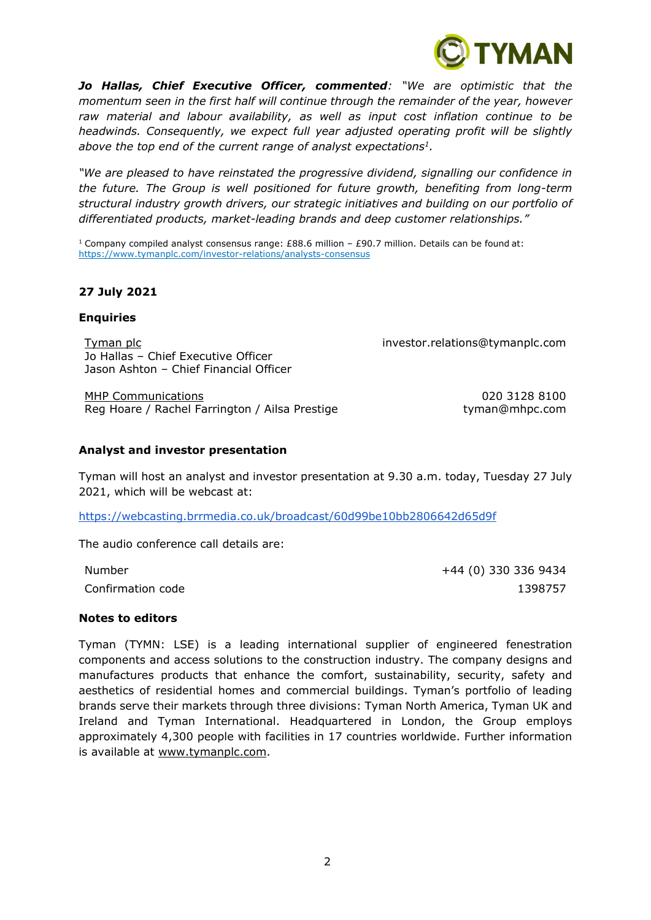*Jo Hallas, Chief Executive Officer, commented: "We are optimistic that the momentum seen in the first half will continue through the remainder of the year, however raw material and labour availability, as well as input cost inflation continue to be headwinds. Consequently, we expect full year adjusted operating profit will be slightly above the top end of the current range of analyst expectations<sup>1</sup> .*

*"We are pleased to have reinstated the progressive dividend, signalling our confidence in the future. The Group is well positioned for future growth, benefiting from long-term structural industry growth drivers, our strategic initiatives and building on our portfolio of differentiated products, market-leading brands and deep customer relationships."*

<sup>1</sup> Company compiled analyst consensus range: £88.6 million – £90.7 million. Details can be found at: <https://www.tymanplc.com/investor-relations/analysts-consensus>

# **27 July 2021**

#### **Enquiries**

Tyman plc investor.relations@tymanplc.com Jo Hallas – Chief Executive Officer Jason Ashton – Chief Financial Officer

MHP Communications 020 3128 8100 Reg Hoare / Rachel Farrington / Ailsa Prestige the tyman@mhpc.com

YMAN

#### **Analyst and investor presentation**

Tyman will host an analyst and investor presentation at 9.30 a.m. today, Tuesday 27 July 2021, which will be webcast at:

<https://webcasting.brrmedia.co.uk/broadcast/60d99be10bb2806642d65d9f>

The audio conference call details are:

Number +44 (0) 330 336 9434 Confirmation code 1398757

#### **Notes to editors**

Tyman (TYMN: LSE) is a leading international supplier of engineered fenestration components and access solutions to the construction industry. The company designs and manufactures products that enhance the comfort, sustainability, security, safety and aesthetics of residential homes and commercial buildings. Tyman's portfolio of leading brands serve their markets through three divisions: Tyman North America, Tyman UK and Ireland and Tyman International. Headquartered in London, the Group employs approximately 4,300 people with facilities in 17 countries worldwide. Further information is available at [www.tymanplc.com.](http://www.tymanplc.com/)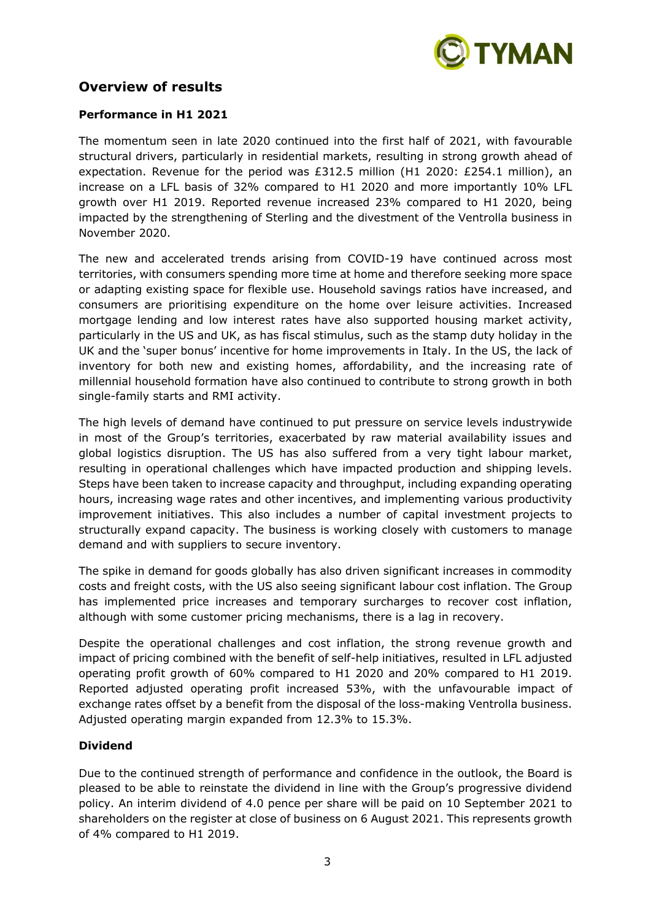

# **Overview of results**

# **Performance in H1 2021**

The momentum seen in late 2020 continued into the first half of 2021, with favourable structural drivers, particularly in residential markets, resulting in strong growth ahead of expectation. Revenue for the period was £312.5 million (H1 2020: £254.1 million), an increase on a LFL basis of 32% compared to H1 2020 and more importantly 10% LFL growth over H1 2019. Reported revenue increased 23% compared to H1 2020, being impacted by the strengthening of Sterling and the divestment of the Ventrolla business in November 2020.

The new and accelerated trends arising from COVID-19 have continued across most territories, with consumers spending more time at home and therefore seeking more space or adapting existing space for flexible use. Household savings ratios have increased, and consumers are prioritising expenditure on the home over leisure activities. Increased mortgage lending and low interest rates have also supported housing market activity, particularly in the US and UK, as has fiscal stimulus, such as the stamp duty holiday in the UK and the 'super bonus' incentive for home improvements in Italy. In the US, the lack of inventory for both new and existing homes, affordability, and the increasing rate of millennial household formation have also continued to contribute to strong growth in both single-family starts and RMI activity.

The high levels of demand have continued to put pressure on service levels industrywide in most of the Group's territories, exacerbated by raw material availability issues and global logistics disruption. The US has also suffered from a very tight labour market, resulting in operational challenges which have impacted production and shipping levels. Steps have been taken to increase capacity and throughput, including expanding operating hours, increasing wage rates and other incentives, and implementing various productivity improvement initiatives. This also includes a number of capital investment projects to structurally expand capacity. The business is working closely with customers to manage demand and with suppliers to secure inventory.

The spike in demand for goods globally has also driven significant increases in commodity costs and freight costs, with the US also seeing significant labour cost inflation. The Group has implemented price increases and temporary surcharges to recover cost inflation, although with some customer pricing mechanisms, there is a lag in recovery.

Despite the operational challenges and cost inflation, the strong revenue growth and impact of pricing combined with the benefit of self-help initiatives, resulted in LFL adjusted operating profit growth of 60% compared to H1 2020 and 20% compared to H1 2019. Reported adjusted operating profit increased 53%, with the unfavourable impact of exchange rates offset by a benefit from the disposal of the loss-making Ventrolla business. Adjusted operating margin expanded from 12.3% to 15.3%.

# **Dividend**

Due to the continued strength of performance and confidence in the outlook, the Board is pleased to be able to reinstate the dividend in line with the Group's progressive dividend policy. An interim dividend of 4.0 pence per share will be paid on 10 September 2021 to shareholders on the register at close of business on 6 August 2021. This represents growth of 4% compared to H1 2019.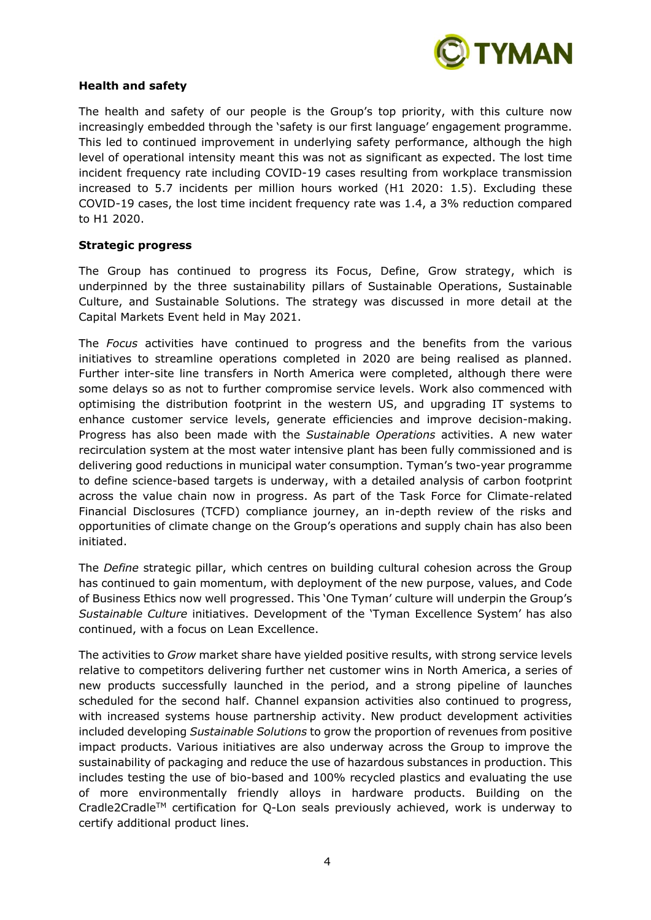

### **Health and safety**

The health and safety of our people is the Group's top priority, with this culture now increasingly embedded through the 'safety is our first language' engagement programme. This led to continued improvement in underlying safety performance, although the high level of operational intensity meant this was not as significant as expected. The lost time incident frequency rate including COVID-19 cases resulting from workplace transmission increased to 5.7 incidents per million hours worked (H1 2020: 1.5). Excluding these COVID-19 cases, the lost time incident frequency rate was 1.4, a 3% reduction compared to H1 2020.

### **Strategic progress**

The Group has continued to progress its Focus, Define, Grow strategy, which is underpinned by the three sustainability pillars of Sustainable Operations, Sustainable Culture, and Sustainable Solutions. The strategy was discussed in more detail at the Capital Markets Event held in May 2021.

The *Focus* activities have continued to progress and the benefits from the various initiatives to streamline operations completed in 2020 are being realised as planned. Further inter-site line transfers in North America were completed, although there were some delays so as not to further compromise service levels. Work also commenced with optimising the distribution footprint in the western US, and upgrading IT systems to enhance customer service levels, generate efficiencies and improve decision-making. Progress has also been made with the *Sustainable Operations* activities. A new water recirculation system at the most water intensive plant has been fully commissioned and is delivering good reductions in municipal water consumption. Tyman's two-year programme to define science-based targets is underway, with a detailed analysis of carbon footprint across the value chain now in progress. As part of the Task Force for Climate-related Financial Disclosures (TCFD) compliance journey, an in-depth review of the risks and opportunities of climate change on the Group's operations and supply chain has also been initiated.

The *Define* strategic pillar, which centres on building cultural cohesion across the Group has continued to gain momentum, with deployment of the new purpose, values, and Code of Business Ethics now well progressed. This 'One Tyman' culture will underpin the Group's *Sustainable Culture* initiatives. Development of the 'Tyman Excellence System' has also continued, with a focus on Lean Excellence.

The activities to *Grow* market share have yielded positive results, with strong service levels relative to competitors delivering further net customer wins in North America, a series of new products successfully launched in the period, and a strong pipeline of launches scheduled for the second half. Channel expansion activities also continued to progress, with increased systems house partnership activity. New product development activities included developing *Sustainable Solutions* to grow the proportion of revenues from positive impact products. Various initiatives are also underway across the Group to improve the sustainability of packaging and reduce the use of hazardous substances in production. This includes testing the use of bio-based and 100% recycled plastics and evaluating the use of more environmentally friendly alloys in hardware products. Building on the Cradle2CradleTM certification for Q-Lon seals previously achieved, work is underway to certify additional product lines.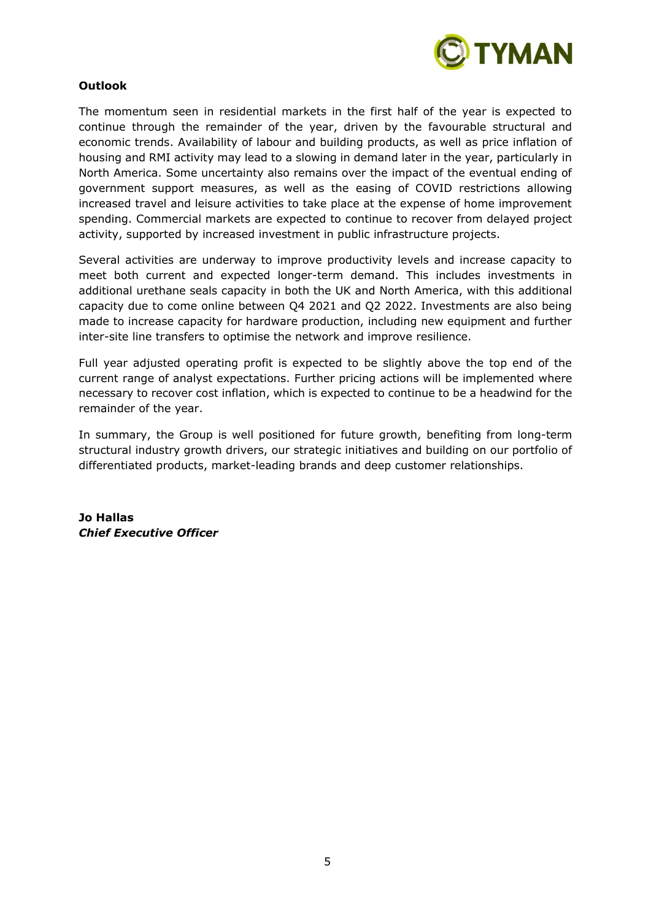

# **Outlook**

The momentum seen in residential markets in the first half of the year is expected to continue through the remainder of the year, driven by the favourable structural and economic trends. Availability of labour and building products, as well as price inflation of housing and RMI activity may lead to a slowing in demand later in the year, particularly in North America. Some uncertainty also remains over the impact of the eventual ending of government support measures, as well as the easing of COVID restrictions allowing increased travel and leisure activities to take place at the expense of home improvement spending. Commercial markets are expected to continue to recover from delayed project activity, supported by increased investment in public infrastructure projects.

Several activities are underway to improve productivity levels and increase capacity to meet both current and expected longer-term demand. This includes investments in additional urethane seals capacity in both the UK and North America, with this additional capacity due to come online between Q4 2021 and Q2 2022. Investments are also being made to increase capacity for hardware production, including new equipment and further inter-site line transfers to optimise the network and improve resilience.

Full year adjusted operating profit is expected to be slightly above the top end of the current range of analyst expectations. Further pricing actions will be implemented where necessary to recover cost inflation, which is expected to continue to be a headwind for the remainder of the year.

In summary, the Group is well positioned for future growth, benefiting from long-term structural industry growth drivers, our strategic initiatives and building on our portfolio of differentiated products, market-leading brands and deep customer relationships.

**Jo Hallas** *Chief Executive Officer*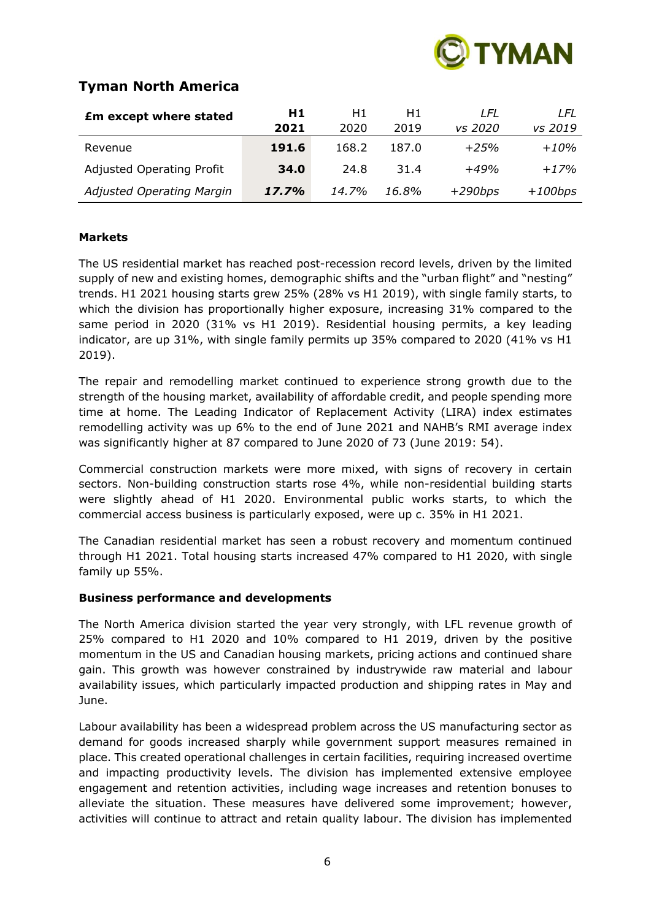

# **Tyman North America**

| <b>Em except where stated</b>    | H1    | H1.   | Η1    | LFL       | I FL      |
|----------------------------------|-------|-------|-------|-----------|-----------|
|                                  | 2021  | 2020  | 2019  | vs 2020   | vs 2019   |
| Revenue                          | 191.6 | 168.2 | 187.0 | $+25%$    | $+10%$    |
| <b>Adjusted Operating Profit</b> | 34.0  | 24.8  | 31.4  | $+49%$    | $+17%$    |
| Adjusted Operating Margin        | 17.7% | 14.7% | 16.8% | $+290bps$ | $+100bps$ |

# **Markets**

The US residential market has reached post-recession record levels, driven by the limited supply of new and existing homes, demographic shifts and the "urban flight" and "nesting" trends. H1 2021 housing starts grew 25% (28% vs H1 2019), with single family starts, to which the division has proportionally higher exposure, increasing 31% compared to the same period in 2020 (31% vs H1 2019). Residential housing permits, a key leading indicator, are up 31%, with single family permits up 35% compared to 2020 (41% vs H1 2019).

The repair and remodelling market continued to experience strong growth due to the strength of the housing market, availability of affordable credit, and people spending more time at home. The Leading Indicator of Replacement Activity (LIRA) index estimates remodelling activity was up 6% to the end of June 2021 and NAHB's RMI average index was significantly higher at 87 compared to June 2020 of 73 (June 2019: 54).

Commercial construction markets were more mixed, with signs of recovery in certain sectors. Non-building construction starts rose 4%, while non-residential building starts were slightly ahead of H1 2020. Environmental public works starts, to which the commercial access business is particularly exposed, were up c. 35% in H1 2021.

The Canadian residential market has seen a robust recovery and momentum continued through H1 2021. Total housing starts increased 47% compared to H1 2020, with single family up 55%.

# **Business performance and developments**

The North America division started the year very strongly, with LFL revenue growth of 25% compared to H1 2020 and 10% compared to H1 2019, driven by the positive momentum in the US and Canadian housing markets, pricing actions and continued share gain. This growth was however constrained by industrywide raw material and labour availability issues, which particularly impacted production and shipping rates in May and June.

Labour availability has been a widespread problem across the US manufacturing sector as demand for goods increased sharply while government support measures remained in place. This created operational challenges in certain facilities, requiring increased overtime and impacting productivity levels. The division has implemented extensive employee engagement and retention activities, including wage increases and retention bonuses to alleviate the situation. These measures have delivered some improvement; however, activities will continue to attract and retain quality labour. The division has implemented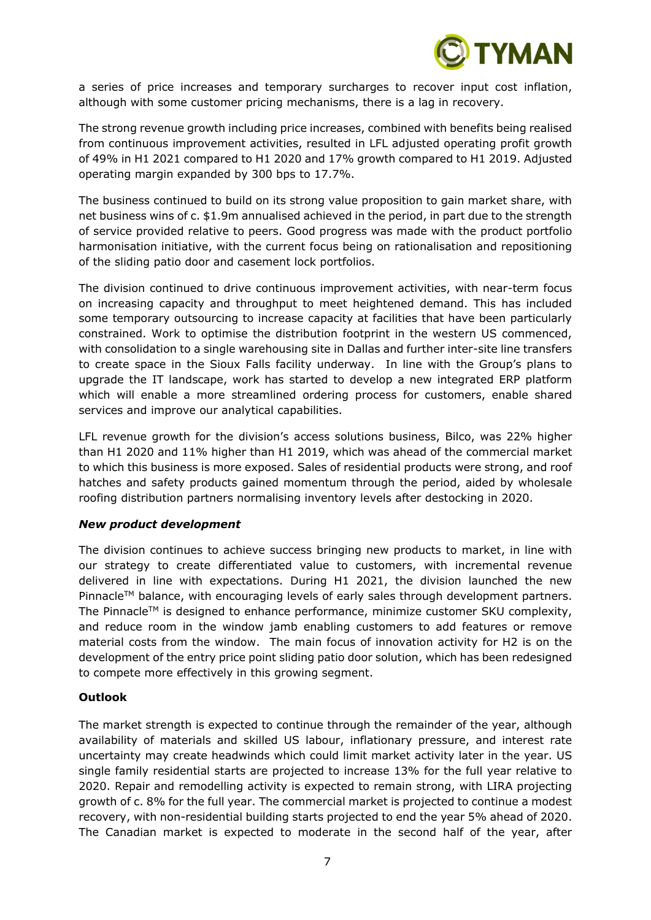

a series of price increases and temporary surcharges to recover input cost inflation, although with some customer pricing mechanisms, there is a lag in recovery.

The strong revenue growth including price increases, combined with benefits being realised from continuous improvement activities, resulted in LFL adjusted operating profit growth of 49% in H1 2021 compared to H1 2020 and 17% growth compared to H1 2019. Adjusted operating margin expanded by 300 bps to 17.7%.

The business continued to build on its strong value proposition to gain market share, with net business wins of c. \$1.9m annualised achieved in the period, in part due to the strength of service provided relative to peers. Good progress was made with the product portfolio harmonisation initiative, with the current focus being on rationalisation and repositioning of the sliding patio door and casement lock portfolios.

The division continued to drive continuous improvement activities, with near-term focus on increasing capacity and throughput to meet heightened demand. This has included some temporary outsourcing to increase capacity at facilities that have been particularly constrained. Work to optimise the distribution footprint in the western US commenced, with consolidation to a single warehousing site in Dallas and further inter-site line transfers to create space in the Sioux Falls facility underway. In line with the Group's plans to upgrade the IT landscape, work has started to develop a new integrated ERP platform which will enable a more streamlined ordering process for customers, enable shared services and improve our analytical capabilities.

LFL revenue growth for the division's access solutions business, Bilco, was 22% higher than H1 2020 and 11% higher than H1 2019, which was ahead of the commercial market to which this business is more exposed. Sales of residential products were strong, and roof hatches and safety products gained momentum through the period, aided by wholesale roofing distribution partners normalising inventory levels after destocking in 2020.

#### *New product development*

The division continues to achieve success bringing new products to market, in line with our strategy to create differentiated value to customers, with incremental revenue delivered in line with expectations. During H1 2021, the division launched the new Pinnacle™ balance, with encouraging levels of early sales through development partners. The Pinnacle<sup>TM</sup> is designed to enhance performance, minimize customer SKU complexity, and reduce room in the window jamb enabling customers to add features or remove material costs from the window. The main focus of innovation activity for H2 is on the development of the entry price point sliding patio door solution, which has been redesigned to compete more effectively in this growing segment.

# **Outlook**

The market strength is expected to continue through the remainder of the year, although availability of materials and skilled US labour, inflationary pressure, and interest rate uncertainty may create headwinds which could limit market activity later in the year. US single family residential starts are projected to increase 13% for the full year relative to 2020. Repair and remodelling activity is expected to remain strong, with LIRA projecting growth of c. 8% for the full year. The commercial market is projected to continue a modest recovery, with non-residential building starts projected to end the year 5% ahead of 2020. The Canadian market is expected to moderate in the second half of the year, after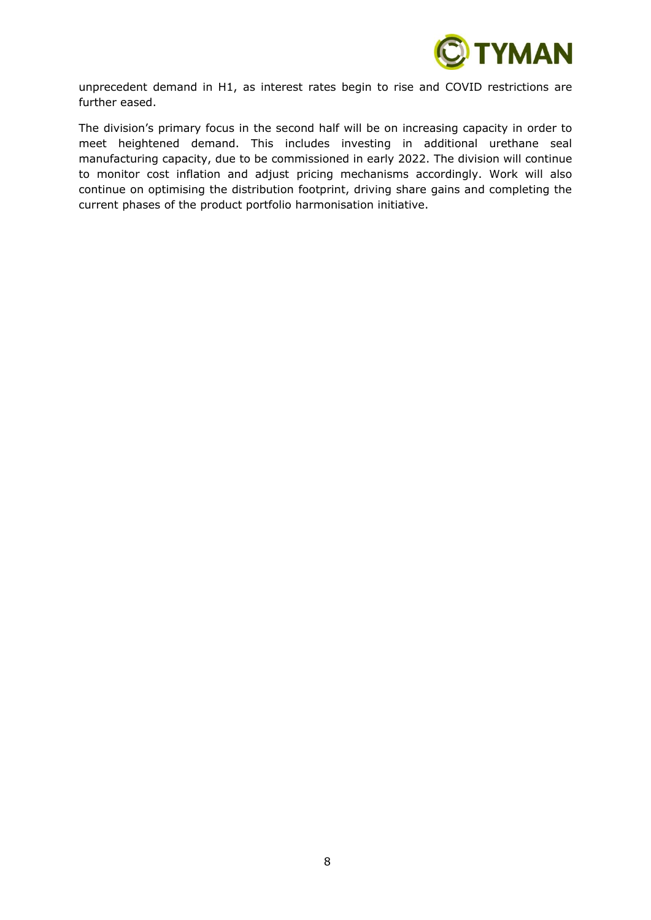

unprecedent demand in H1, as interest rates begin to rise and COVID restrictions are further eased.

The division's primary focus in the second half will be on increasing capacity in order to meet heightened demand. This includes investing in additional urethane seal manufacturing capacity, due to be commissioned in early 2022. The division will continue to monitor cost inflation and adjust pricing mechanisms accordingly. Work will also continue on optimising the distribution footprint, driving share gains and completing the current phases of the product portfolio harmonisation initiative.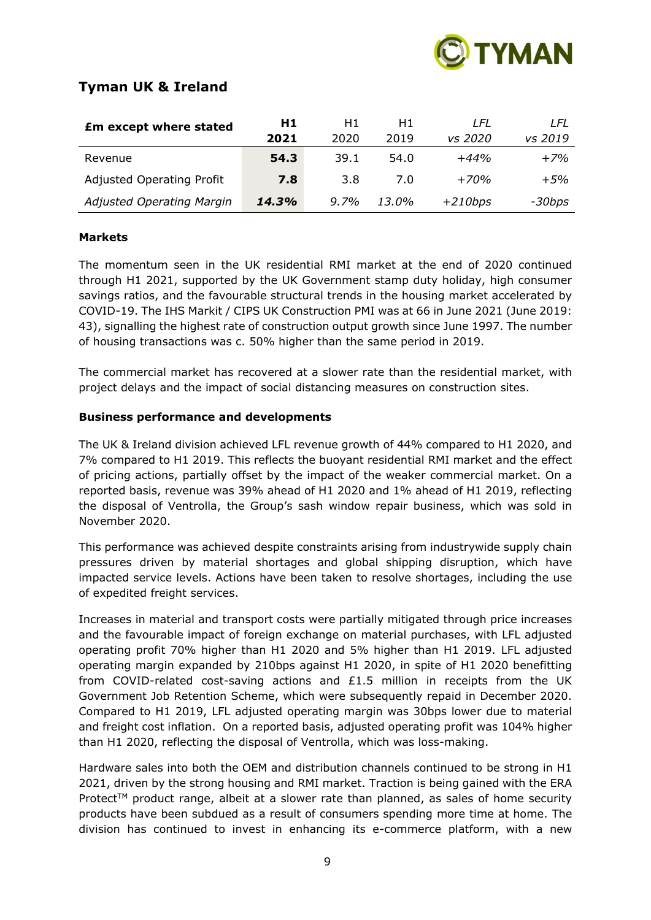

# **Tyman UK & Ireland**

| <b>£m except where stated</b>    | H1    | H1      | H1.      | I FI      | LFL     |
|----------------------------------|-------|---------|----------|-----------|---------|
|                                  | 2021  | 2020    | 2019     | vs 2020   | vs 2019 |
| Revenue                          | 54.3  | 39.1    | 54.0     | $+44%$    | $+7%$   |
| <b>Adjusted Operating Profit</b> | 7.8   | 3.8     | 7.0      | $+70%$    | $+5%$   |
| Adjusted Operating Margin        | 14.3% | $9.7\%$ | $13.0\%$ | $+210bps$ | -30bps  |

# **Markets**

The momentum seen in the UK residential RMI market at the end of 2020 continued through H1 2021, supported by the UK Government stamp duty holiday, high consumer savings ratios, and the favourable structural trends in the housing market accelerated by COVID-19. The IHS Markit / CIPS UK Construction PMI was at 66 in June 2021 (June 2019: 43), signalling the highest rate of construction output growth since June 1997. The number of housing transactions was c. 50% higher than the same period in 2019.

The commercial market has recovered at a slower rate than the residential market, with project delays and the impact of social distancing measures on construction sites.

# **Business performance and developments**

The UK & Ireland division achieved LFL revenue growth of 44% compared to H1 2020, and 7% compared to H1 2019. This reflects the buoyant residential RMI market and the effect of pricing actions, partially offset by the impact of the weaker commercial market. On a reported basis, revenue was 39% ahead of H1 2020 and 1% ahead of H1 2019, reflecting the disposal of Ventrolla, the Group's sash window repair business, which was sold in November 2020.

This performance was achieved despite constraints arising from industrywide supply chain pressures driven by material shortages and global shipping disruption, which have impacted service levels. Actions have been taken to resolve shortages, including the use of expedited freight services.

Increases in material and transport costs were partially mitigated through price increases and the favourable impact of foreign exchange on material purchases, with LFL adjusted operating profit 70% higher than H1 2020 and 5% higher than H1 2019. LFL adjusted operating margin expanded by 210bps against H1 2020, in spite of H1 2020 benefitting from COVID-related cost-saving actions and £1.5 million in receipts from the UK Government Job Retention Scheme, which were subsequently repaid in December 2020. Compared to H1 2019, LFL adjusted operating margin was 30bps lower due to material and freight cost inflation. On a reported basis, adjusted operating profit was 104% higher than H1 2020, reflecting the disposal of Ventrolla, which was loss-making.

Hardware sales into both the OEM and distribution channels continued to be strong in H1 2021, driven by the strong housing and RMI market. Traction is being gained with the ERA Protect<sup>TM</sup> product range, albeit at a slower rate than planned, as sales of home security products have been subdued as a result of consumers spending more time at home. The division has continued to invest in enhancing its e-commerce platform, with a new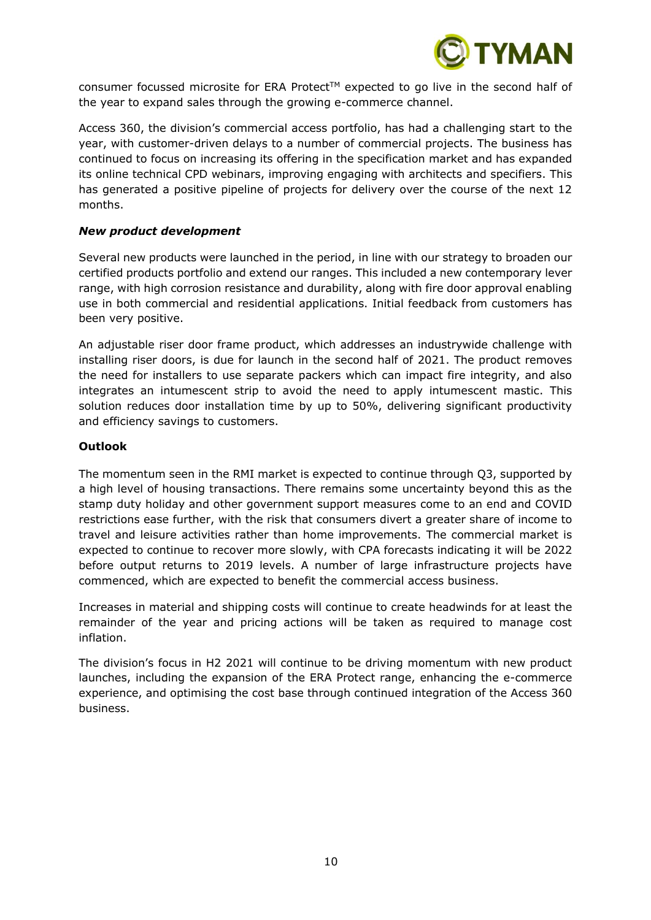

consumer focussed microsite for ERA Protect™ expected to go live in the second half of the year to expand sales through the growing e-commerce channel.

Access 360, the division's commercial access portfolio, has had a challenging start to the year, with customer-driven delays to a number of commercial projects. The business has continued to focus on increasing its offering in the specification market and has expanded its online technical CPD webinars, improving engaging with architects and specifiers. This has generated a positive pipeline of projects for delivery over the course of the next 12 months.

# *New product development*

Several new products were launched in the period, in line with our strategy to broaden our certified products portfolio and extend our ranges. This included a new contemporary lever range, with high corrosion resistance and durability, along with fire door approval enabling use in both commercial and residential applications. Initial feedback from customers has been very positive.

An adjustable riser door frame product, which addresses an industrywide challenge with installing riser doors, is due for launch in the second half of 2021. The product removes the need for installers to use separate packers which can impact fire integrity, and also integrates an intumescent strip to avoid the need to apply intumescent mastic. This solution reduces door installation time by up to 50%, delivering significant productivity and efficiency savings to customers.

### **Outlook**

The momentum seen in the RMI market is expected to continue through Q3, supported by a high level of housing transactions. There remains some uncertainty beyond this as the stamp duty holiday and other government support measures come to an end and COVID restrictions ease further, with the risk that consumers divert a greater share of income to travel and leisure activities rather than home improvements. The commercial market is expected to continue to recover more slowly, with CPA forecasts indicating it will be 2022 before output returns to 2019 levels. A number of large infrastructure projects have commenced, which are expected to benefit the commercial access business.

Increases in material and shipping costs will continue to create headwinds for at least the remainder of the year and pricing actions will be taken as required to manage cost inflation.

The division's focus in H2 2021 will continue to be driving momentum with new product launches, including the expansion of the ERA Protect range, enhancing the e-commerce experience, and optimising the cost base through continued integration of the Access 360 business.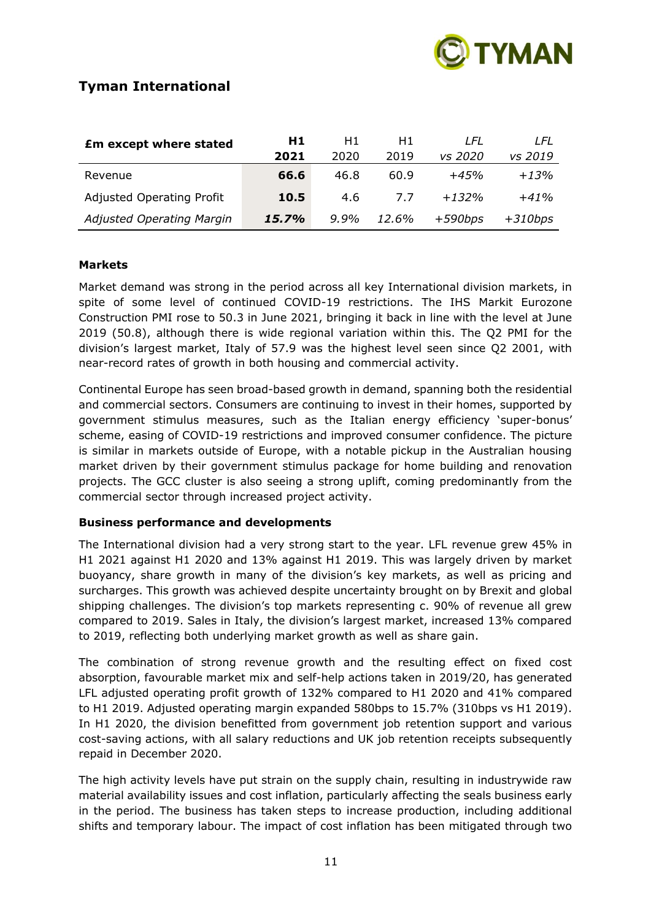

# **Tyman International**

| <b>£m except where stated</b> | H1    | H1      | H1    | I FI      | I FI      |
|-------------------------------|-------|---------|-------|-----------|-----------|
|                               | 2021  | 2020    | 2019  | vs 2020   | vs 2019   |
| Revenue                       | 66.6  | 46.8    | 60.9  | $+45%$    | $+13%$    |
| Adjusted Operating Profit     | 10.5  | 4.6     | 77    | $+1.32%$  | $+41%$    |
| Adjusted Operating Margin     | 15.7% | $9.9\%$ | 12.6% | $+590bps$ | $+310bps$ |

### **Markets**

Market demand was strong in the period across all key International division markets, in spite of some level of continued COVID-19 restrictions. The IHS Markit Eurozone Construction PMI rose to 50.3 in June 2021, bringing it back in line with the level at June 2019 (50.8), although there is wide regional variation within this. The Q2 PMI for the division's largest market, Italy of 57.9 was the highest level seen since Q2 2001, with near-record rates of growth in both housing and commercial activity.

Continental Europe has seen broad-based growth in demand, spanning both the residential and commercial sectors. Consumers are continuing to invest in their homes, supported by government stimulus measures, such as the Italian energy efficiency 'super-bonus' scheme, easing of COVID-19 restrictions and improved consumer confidence. The picture is similar in markets outside of Europe, with a notable pickup in the Australian housing market driven by their government stimulus package for home building and renovation projects. The GCC cluster is also seeing a strong uplift, coming predominantly from the commercial sector through increased project activity.

# **Business performance and developments**

The International division had a very strong start to the year. LFL revenue grew 45% in H1 2021 against H1 2020 and 13% against H1 2019. This was largely driven by market buoyancy, share growth in many of the division's key markets, as well as pricing and surcharges. This growth was achieved despite uncertainty brought on by Brexit and global shipping challenges. The division's top markets representing c. 90% of revenue all grew compared to 2019. Sales in Italy, the division's largest market, increased 13% compared to 2019, reflecting both underlying market growth as well as share gain.

The combination of strong revenue growth and the resulting effect on fixed cost absorption, favourable market mix and self-help actions taken in 2019/20, has generated LFL adjusted operating profit growth of 132% compared to H1 2020 and 41% compared to H1 2019. Adjusted operating margin expanded 580bps to 15.7% (310bps vs H1 2019). In H1 2020, the division benefitted from government job retention support and various cost-saving actions, with all salary reductions and UK job retention receipts subsequently repaid in December 2020.

The high activity levels have put strain on the supply chain, resulting in industrywide raw material availability issues and cost inflation, particularly affecting the seals business early in the period. The business has taken steps to increase production, including additional shifts and temporary labour. The impact of cost inflation has been mitigated through two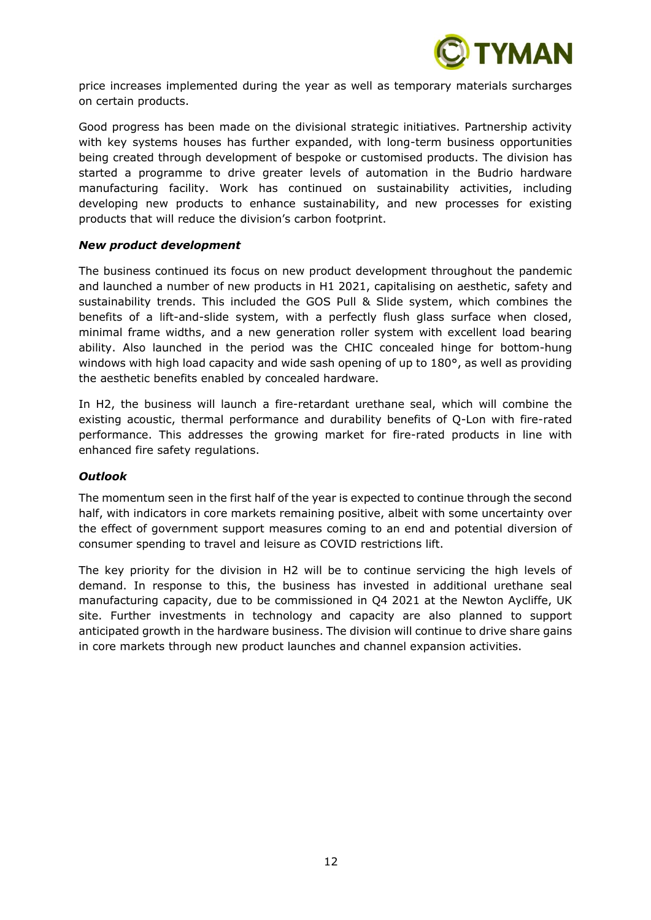

price increases implemented during the year as well as temporary materials surcharges on certain products.

Good progress has been made on the divisional strategic initiatives. Partnership activity with key systems houses has further expanded, with long-term business opportunities being created through development of bespoke or customised products. The division has started a programme to drive greater levels of automation in the Budrio hardware manufacturing facility. Work has continued on sustainability activities, including developing new products to enhance sustainability, and new processes for existing products that will reduce the division's carbon footprint.

### *New product development*

The business continued its focus on new product development throughout the pandemic and launched a number of new products in H1 2021, capitalising on aesthetic, safety and sustainability trends. This included the GOS Pull & Slide system, which combines the benefits of a lift-and-slide system, with a perfectly flush glass surface when closed, minimal frame widths, and a new generation roller system with excellent load bearing ability. Also launched in the period was the CHIC concealed hinge for bottom-hung windows with high load capacity and wide sash opening of up to 180°, as well as providing the aesthetic benefits enabled by concealed hardware.

In H2, the business will launch a fire-retardant urethane seal, which will combine the existing acoustic, thermal performance and durability benefits of Q-Lon with fire-rated performance. This addresses the growing market for fire-rated products in line with enhanced fire safety regulations.

#### *Outlook*

The momentum seen in the first half of the year is expected to continue through the second half, with indicators in core markets remaining positive, albeit with some uncertainty over the effect of government support measures coming to an end and potential diversion of consumer spending to travel and leisure as COVID restrictions lift.

The key priority for the division in H2 will be to continue servicing the high levels of demand. In response to this, the business has invested in additional urethane seal manufacturing capacity, due to be commissioned in Q4 2021 at the Newton Aycliffe, UK site. Further investments in technology and capacity are also planned to support anticipated growth in the hardware business. The division will continue to drive share gains in core markets through new product launches and channel expansion activities.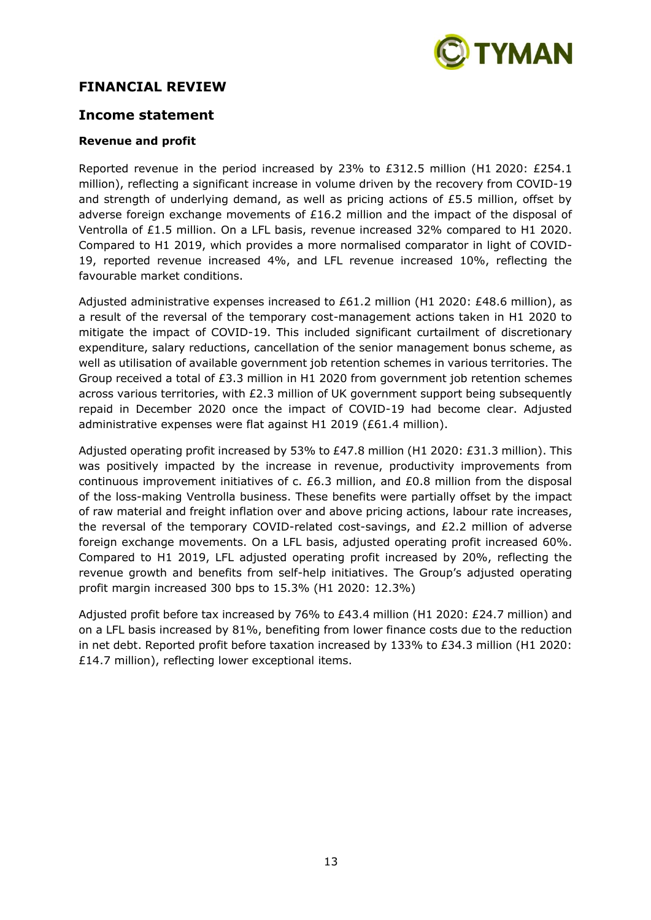

# **FINANCIAL REVIEW**

# **Income statement**

# **Revenue and profit**

Reported revenue in the period increased by 23% to £312.5 million (H1 2020: £254.1 million), reflecting a significant increase in volume driven by the recovery from COVID-19 and strength of underlying demand, as well as pricing actions of  $E5.5$  million, offset by adverse foreign exchange movements of £16.2 million and the impact of the disposal of Ventrolla of £1.5 million. On a LFL basis, revenue increased 32% compared to H1 2020. Compared to H1 2019, which provides a more normalised comparator in light of COVID-19, reported revenue increased 4%, and LFL revenue increased 10%, reflecting the favourable market conditions.

Adjusted administrative expenses increased to £61.2 million (H1 2020: £48.6 million), as a result of the reversal of the temporary cost-management actions taken in H1 2020 to mitigate the impact of COVID-19. This included significant curtailment of discretionary expenditure, salary reductions, cancellation of the senior management bonus scheme, as well as utilisation of available government job retention schemes in various territories. The Group received a total of £3.3 million in H1 2020 from government job retention schemes across various territories, with £2.3 million of UK government support being subsequently repaid in December 2020 once the impact of COVID-19 had become clear. Adjusted administrative expenses were flat against H1 2019 (£61.4 million).

Adjusted operating profit increased by 53% to £47.8 million (H1 2020: £31.3 million). This was positively impacted by the increase in revenue, productivity improvements from continuous improvement initiatives of c. £6.3 million, and £0.8 million from the disposal of the loss-making Ventrolla business. These benefits were partially offset by the impact of raw material and freight inflation over and above pricing actions, labour rate increases, the reversal of the temporary COVID-related cost-savings, and  $E2.2$  million of adverse foreign exchange movements. On a LFL basis, adjusted operating profit increased 60%. Compared to H1 2019, LFL adjusted operating profit increased by 20%, reflecting the revenue growth and benefits from self-help initiatives. The Group's adjusted operating profit margin increased 300 bps to 15.3% (H1 2020: 12.3%)

Adjusted profit before tax increased by 76% to £43.4 million (H1 2020: £24.7 million) and on a LFL basis increased by 81%, benefiting from lower finance costs due to the reduction in net debt. Reported profit before taxation increased by 133% to £34.3 million (H1 2020: £14.7 million), reflecting lower exceptional items.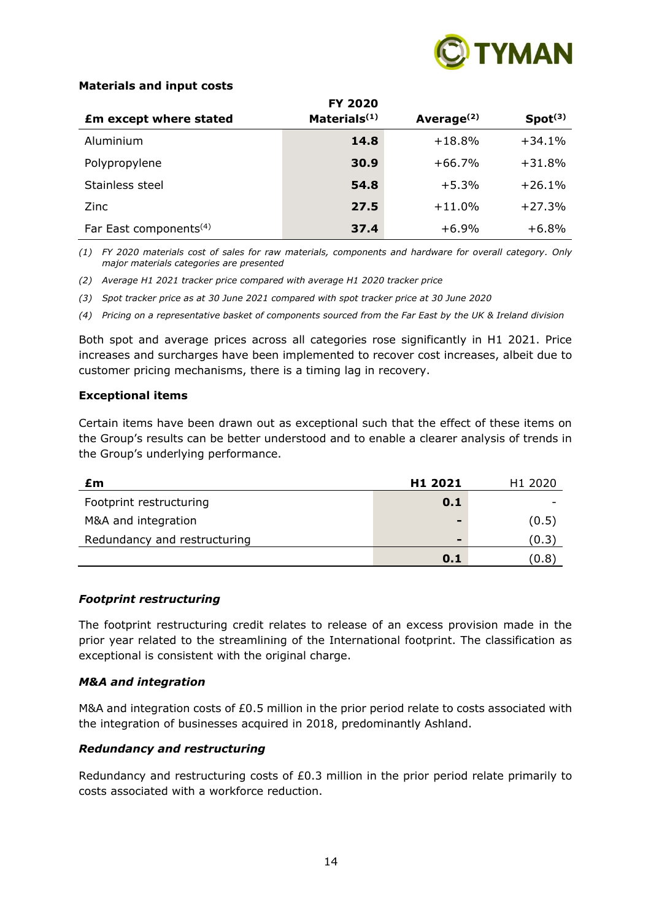

# **Materials and input costs**

|                                    | <b>FY 2020</b>           |               |                     |
|------------------------------------|--------------------------|---------------|---------------------|
| <b>£m except where stated</b>      | Materials <sup>(1)</sup> | Average $(2)$ | Spot <sup>(3)</sup> |
| Aluminium                          | 14.8                     | $+18.8%$      | $+34.1%$            |
| Polypropylene                      | 30.9                     | $+66.7%$      | $+31.8%$            |
| Stainless steel                    | 54.8                     | $+5.3%$       | $+26.1%$            |
| Zinc                               | 27.5                     | $+11.0%$      | $+27.3%$            |
| Far East components <sup>(4)</sup> | 37.4                     | $+6.9%$       | $+6.8%$             |

*(1) FY 2020 materials cost of sales for raw materials, components and hardware for overall category. Only major materials categories are presented*

- *(2) Average H1 2021 tracker price compared with average H1 2020 tracker price*
- *(3) Spot tracker price as at 30 June 2021 compared with spot tracker price at 30 June 2020*

*(4) Pricing on a representative basket of components sourced from the Far East by the UK & Ireland division*

Both spot and average prices across all categories rose significantly in H1 2021. Price increases and surcharges have been implemented to recover cost increases, albeit due to customer pricing mechanisms, there is a timing lag in recovery.

#### **Exceptional items**

Certain items have been drawn out as exceptional such that the effect of these items on the Group's results can be better understood and to enable a clearer analysis of trends in the Group's underlying performance.

| £m                           | H1 2021                  | H <sub>1</sub> 2020 |
|------------------------------|--------------------------|---------------------|
| Footprint restructuring      | 0.1                      |                     |
| M&A and integration          | $\overline{\phantom{0}}$ | (0.5)               |
| Redundancy and restructuring | $\overline{\phantom{0}}$ | (0.3)               |
|                              | 0.1                      | (0.8)               |

#### *Footprint restructuring*

The footprint restructuring credit relates to release of an excess provision made in the prior year related to the streamlining of the International footprint. The classification as exceptional is consistent with the original charge.

#### *M&A and integration*

M&A and integration costs of £0.5 million in the prior period relate to costs associated with the integration of businesses acquired in 2018, predominantly Ashland.

# *Redundancy and restructuring*

Redundancy and restructuring costs of  $£0.3$  million in the prior period relate primarily to costs associated with a workforce reduction.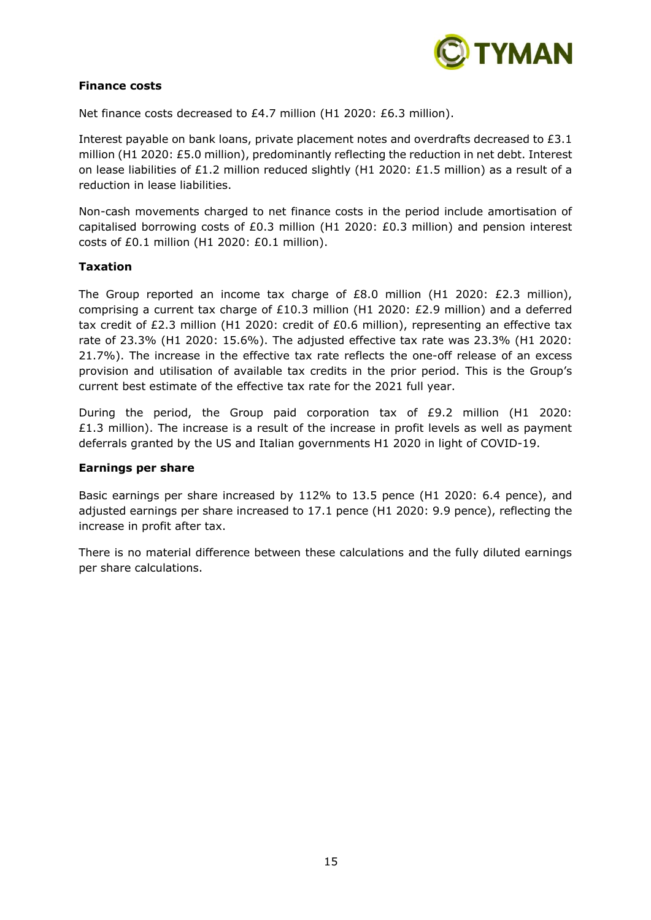

## **Finance costs**

Net finance costs decreased to £4.7 million (H1 2020: £6.3 million).

Interest payable on bank loans, private placement notes and overdrafts decreased to £3.1 million (H1 2020: £5.0 million), predominantly reflecting the reduction in net debt. Interest on lease liabilities of £1.2 million reduced slightly (H1 2020: £1.5 million) as a result of a reduction in lease liabilities.

Non-cash movements charged to net finance costs in the period include amortisation of capitalised borrowing costs of £0.3 million (H1 2020: £0.3 million) and pension interest costs of £0.1 million (H1 2020: £0.1 million).

# **Taxation**

The Group reported an income tax charge of  $E8.0$  million (H1 2020:  $E2.3$  million), comprising a current tax charge of £10.3 million (H1 2020: £2.9 million) and a deferred tax credit of £2.3 million (H1 2020: credit of £0.6 million), representing an effective tax rate of 23.3% (H1 2020: 15.6%). The adjusted effective tax rate was 23.3% (H1 2020: 21.7%). The increase in the effective tax rate reflects the one-off release of an excess provision and utilisation of available tax credits in the prior period. This is the Group's current best estimate of the effective tax rate for the 2021 full year.

During the period, the Group paid corporation tax of £9.2 million (H1 2020:  $£1.3$  million). The increase is a result of the increase in profit levels as well as payment deferrals granted by the US and Italian governments H1 2020 in light of COVID-19.

#### **Earnings per share**

Basic earnings per share increased by 112% to 13.5 pence (H1 2020: 6.4 pence), and adjusted earnings per share increased to 17.1 pence (H1 2020: 9.9 pence), reflecting the increase in profit after tax.

There is no material difference between these calculations and the fully diluted earnings per share calculations.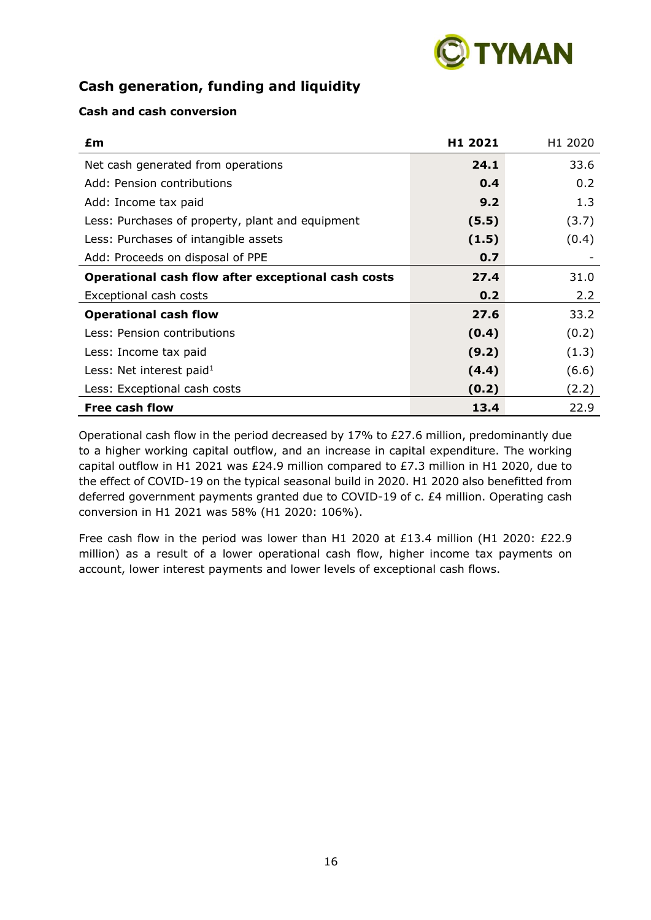

# **Cash generation, funding and liquidity**

# **Cash and cash conversion**

| £m                                                 | H <sub>1</sub> 2021 | H <sub>1</sub> 2020 |
|----------------------------------------------------|---------------------|---------------------|
| Net cash generated from operations                 | 24.1                | 33.6                |
| Add: Pension contributions                         | 0.4                 | 0.2                 |
| Add: Income tax paid                               | 9.2                 | 1.3                 |
| Less: Purchases of property, plant and equipment   | (5.5)               | (3.7)               |
| Less: Purchases of intangible assets               | (1.5)               | (0.4)               |
| Add: Proceeds on disposal of PPE                   | 0.7                 |                     |
| Operational cash flow after exceptional cash costs | 27.4                | 31.0                |
| Exceptional cash costs                             | 0.2                 | 2.2                 |
| <b>Operational cash flow</b>                       | 27.6                | 33.2                |
| Less: Pension contributions                        | (0.4)               | (0.2)               |
| Less: Income tax paid                              | (9.2)               | (1.3)               |
| Less: Net interest paid $1$                        | (4.4)               | (6.6)               |
| Less: Exceptional cash costs                       | (0.2)               | (2.2)               |
| <b>Free cash flow</b>                              | 13.4                | 22.9                |

Operational cash flow in the period decreased by 17% to £27.6 million, predominantly due to a higher working capital outflow, and an increase in capital expenditure. The working capital outflow in H1 2021 was £24.9 million compared to £7.3 million in H1 2020, due to the effect of COVID-19 on the typical seasonal build in 2020. H1 2020 also benefitted from deferred government payments granted due to COVID-19 of c. £4 million. Operating cash conversion in H1 2021 was 58% (H1 2020: 106%).

Free cash flow in the period was lower than H1 2020 at £13.4 million (H1 2020: £22.9 million) as a result of a lower operational cash flow, higher income tax payments on account, lower interest payments and lower levels of exceptional cash flows.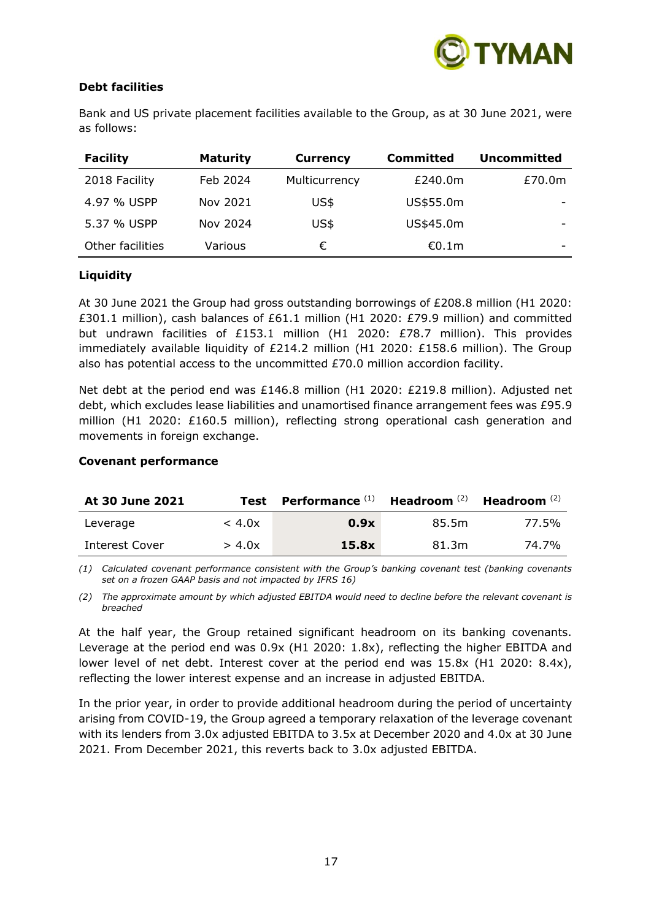

# **Debt facilities**

| <b>Facility</b>  | <b>Maturity</b> | <b>Currency</b> | <b>Committed</b> | <b>Uncommitted</b> |
|------------------|-----------------|-----------------|------------------|--------------------|
| 2018 Facility    | Feb 2024        | Multicurrency   | £240.0m          | £70.0m             |
| 4.97 % USPP      | Nov 2021        | US\$            | US\$55.0m        |                    |
| 5.37 % USPP      | Nov 2024        | US\$            | US\$45.0m        |                    |
| Other facilities | Various         | €               | €0.1m            | -                  |

Bank and US private placement facilities available to the Group, as at 30 June 2021, were as follows:

# **Liquidity**

At 30 June 2021 the Group had gross outstanding borrowings of £208.8 million (H1 2020: £301.1 million), cash balances of £61.1 million (H1 2020: £79.9 million) and committed but undrawn facilities of £153.1 million (H1 2020: £78.7 million). This provides immediately available liquidity of £214.2 million (H1 2020: £158.6 million). The Group also has potential access to the uncommitted £70.0 million accordion facility.

Net debt at the period end was £146.8 million (H1 2020: £219.8 million). Adjusted net debt, which excludes lease liabilities and unamortised finance arrangement fees was £95.9 million (H1 2020: £160.5 million), reflecting strong operational cash generation and movements in foreign exchange.

#### **Covenant performance**

| At 30 June 2021 | Test   | <b>Performance</b> $^{(1)}$ Headroom $^{(2)}$ Headroom $^{(2)}$ |       |       |
|-----------------|--------|-----------------------------------------------------------------|-------|-------|
| Leverage        | < 4.0x | 0.9x                                                            | 85.5m | 77.5% |
| Interest Cover  | > 4.0x | 15.8x                                                           | 81.3m | 74.7% |

*(1) Calculated covenant performance consistent with the Group's banking covenant test (banking covenants set on a frozen GAAP basis and not impacted by IFRS 16)*

*(2) The approximate amount by which adjusted EBITDA would need to decline before the relevant covenant is breached*

At the half year, the Group retained significant headroom on its banking covenants. Leverage at the period end was 0.9x (H1 2020: 1.8x), reflecting the higher EBITDA and lower level of net debt. Interest cover at the period end was 15.8x (H1 2020: 8.4x), reflecting the lower interest expense and an increase in adjusted EBITDA.

In the prior year, in order to provide additional headroom during the period of uncertainty arising from COVID-19, the Group agreed a temporary relaxation of the leverage covenant with its lenders from 3.0x adjusted EBITDA to 3.5x at December 2020 and 4.0x at 30 June 2021. From December 2021, this reverts back to 3.0x adjusted EBITDA.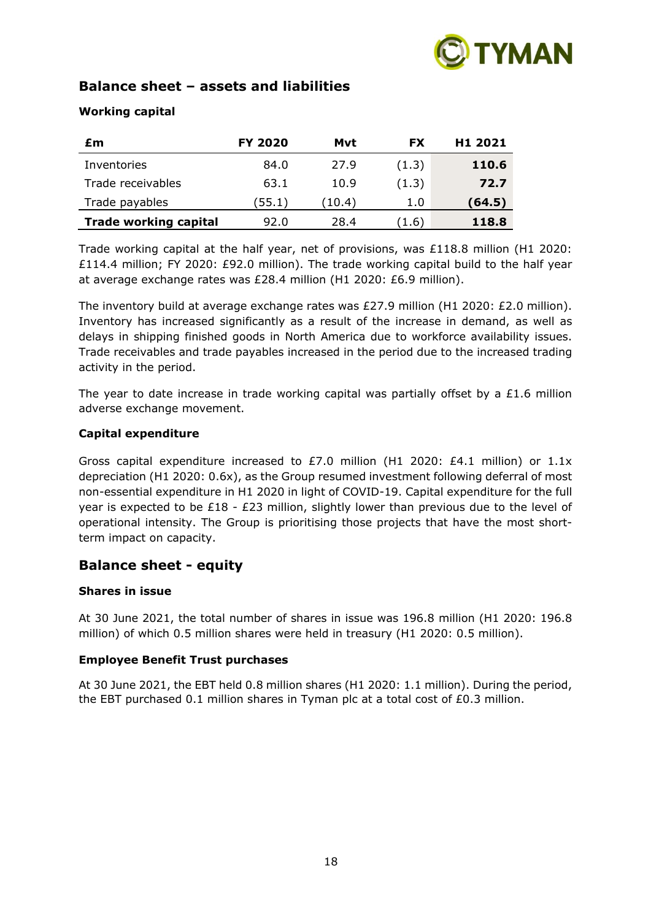

# **Balance sheet – assets and liabilities**

# **Working capital**

| £m                           | <b>FY 2020</b> | Mvt    | FX    | H1 2021 |
|------------------------------|----------------|--------|-------|---------|
| Inventories                  | 84.0           | 27.9   | (1.3) | 110.6   |
| Trade receivables            | 63.1           | 10.9   | (1.3) | 72.7    |
| Trade payables               | (55.1)         | (10.4) | 1.0   | (64.5)  |
| <b>Trade working capital</b> | 92.0           | 28.4   | (1.6) | 118.8   |

Trade working capital at the half year, net of provisions, was £118.8 million (H1 2020: £114.4 million; FY 2020: £92.0 million). The trade working capital build to the half year at average exchange rates was £28.4 million (H1 2020: £6.9 million).

The inventory build at average exchange rates was £27.9 million (H1 2020: £2.0 million). Inventory has increased significantly as a result of the increase in demand, as well as delays in shipping finished goods in North America due to workforce availability issues. Trade receivables and trade payables increased in the period due to the increased trading activity in the period.

The year to date increase in trade working capital was partially offset by a  $£1.6$  million adverse exchange movement.

# **Capital expenditure**

Gross capital expenditure increased to £7.0 million (H1 2020: £4.1 million) or  $1.1x$ depreciation (H1 2020: 0.6x), as the Group resumed investment following deferral of most non-essential expenditure in H1 2020 in light of COVID-19. Capital expenditure for the full year is expected to be £18 - £23 million, slightly lower than previous due to the level of operational intensity. The Group is prioritising those projects that have the most shortterm impact on capacity.

# **Balance sheet - equity**

# **Shares in issue**

At 30 June 2021, the total number of shares in issue was 196.8 million (H1 2020: 196.8 million) of which 0.5 million shares were held in treasury (H1 2020: 0.5 million).

# **Employee Benefit Trust purchases**

At 30 June 2021, the EBT held 0.8 million shares (H1 2020: 1.1 million). During the period, the EBT purchased 0.1 million shares in Tyman plc at a total cost of  $E0.3$  million.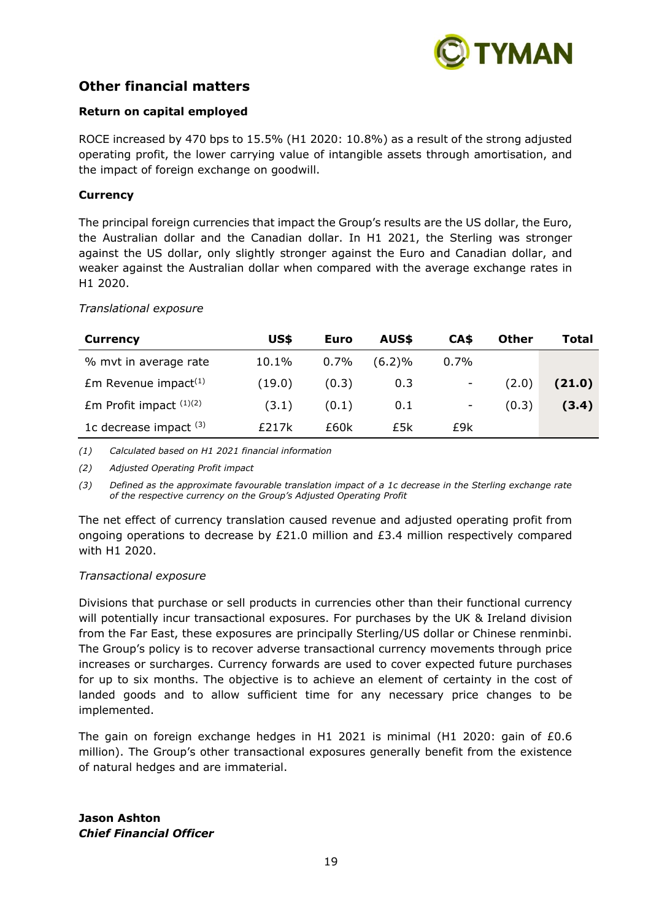

# **Other financial matters**

### **Return on capital employed**

ROCE increased by 470 bps to 15.5% (H1 2020: 10.8%) as a result of the strong adjusted operating profit, the lower carrying value of intangible assets through amortisation, and the impact of foreign exchange on goodwill.

#### **Currency**

The principal foreign currencies that impact the Group's results are the US dollar, the Euro, the Australian dollar and the Canadian dollar. In H1 2021, the Sterling was stronger against the US dollar, only slightly stronger against the Euro and Canadian dollar, and weaker against the Australian dollar when compared with the average exchange rates in H1 2020.

#### *Translational exposure*

| <b>Currency</b>                    | US\$   | Euro    | AUS\$     | CA\$                     | Other | Total  |
|------------------------------------|--------|---------|-----------|--------------------------|-------|--------|
| % myt in average rate              | 10.1%  | $0.7\%$ | $(6.2)\%$ | 0.7%                     |       |        |
| $Em$ Revenue impact <sup>(1)</sup> | (19.0) | (0.3)   | 0.3       | $\overline{\phantom{a}}$ | (2.0) | (21.0) |
| Em Profit impact $(1)(2)$          | (3.1)  | (0.1)   | 0.1       | -                        | (0.3) | (3.4)  |
| 1c decrease impact $(3)$           | £217k  | £60k    | £5k       | £9k                      |       |        |

*(1) Calculated based on H1 2021 financial information*

*(2) Adjusted Operating Profit impact*

*(3) Defined as the approximate favourable translation impact of a 1c decrease in the Sterling exchange rate of the respective currency on the Group's Adjusted Operating Profit*

The net effect of currency translation caused revenue and adjusted operating profit from ongoing operations to decrease by £21.0 million and £3.4 million respectively compared with H1 2020.

#### *Transactional exposure*

Divisions that purchase or sell products in currencies other than their functional currency will potentially incur transactional exposures. For purchases by the UK & Ireland division from the Far East, these exposures are principally Sterling/US dollar or Chinese renminbi. The Group's policy is to recover adverse transactional currency movements through price increases or surcharges. Currency forwards are used to cover expected future purchases for up to six months. The objective is to achieve an element of certainty in the cost of landed goods and to allow sufficient time for any necessary price changes to be implemented.

The gain on foreign exchange hedges in H1 2021 is minimal (H1 2020: gain of  $£0.6$ million). The Group's other transactional exposures generally benefit from the existence of natural hedges and are immaterial.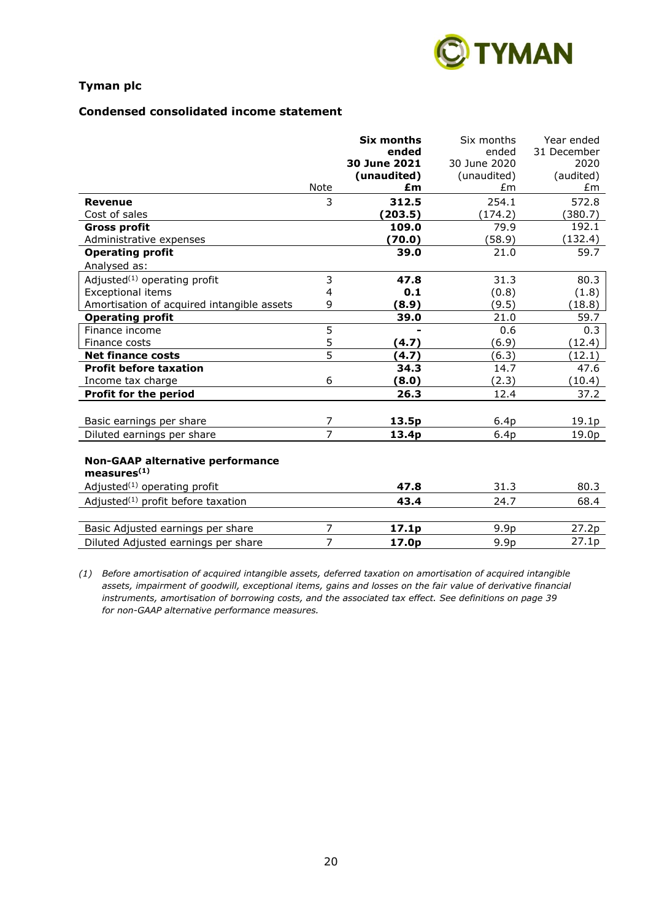

### **Condensed consolidated income statement**

|                                            |                | <b>Six months</b> | Six months       | Year ended  |
|--------------------------------------------|----------------|-------------------|------------------|-------------|
|                                            |                | ended             | ended            | 31 December |
|                                            |                | 30 June 2021      | 30 June 2020     | 2020        |
|                                            |                | (unaudited)       | (unaudited)      | (audited)   |
|                                            | Note           | £m                | £m               | £m          |
| <b>Revenue</b>                             | 3              | 312.5             | 254.1            | 572.8       |
| Cost of sales                              |                | (203.5)           | (174.2)          | (380.7)     |
| <b>Gross profit</b>                        |                | 109.0             | 79.9             | 192.1       |
| Administrative expenses                    |                | (70.0)            | (58.9)           | (132.4)     |
| <b>Operating profit</b>                    |                | 39.0              | 21.0             | 59.7        |
| Analysed as:                               |                |                   |                  |             |
| Adjusted $(1)$ operating profit            | 3              | 47.8              | 31.3             | 80.3        |
| <b>Exceptional items</b>                   | 4              | 0.1               | (0.8)            | (1.8)       |
| Amortisation of acquired intangible assets | 9              | (8.9)             | (9.5)            | (18.8)      |
| <b>Operating profit</b>                    |                | 39.0              | 21.0             | 59.7        |
| Finance income                             | 5              |                   | 0.6              | 0.3         |
| Finance costs                              | 5              | (4.7)             | (6.9)            | (12.4)      |
| <b>Net finance costs</b>                   | 5              | (4.7)             | (6.3)            | (12.1)      |
| <b>Profit before taxation</b>              |                | 34.3              | 14.7             | 47.6        |
| Income tax charge                          | 6              | (8.0)             | (2.3)            | (10.4)      |
| <b>Profit for the period</b>               |                | 26.3              | 12.4             | 37.2        |
|                                            |                |                   |                  |             |
| Basic earnings per share                   | 7              | 13.5p             | 6.4p             | 19.1p       |
| Diluted earnings per share                 | $\overline{7}$ | 13.4p             | 6.4p             | 19.0p       |
|                                            |                |                   |                  |             |
| <b>Non-GAAP alternative performance</b>    |                |                   |                  |             |
| measures <sup>(1)</sup>                    |                |                   |                  |             |
| Adjusted $(1)$ operating profit            |                | 47.8              | 31.3             | 80.3        |
| Adjusted $(1)$ profit before taxation      |                | 43.4              | 24.7             | 68.4        |
|                                            |                |                   |                  |             |
| Basic Adjusted earnings per share          | 7              | 17.1p             | 9.9 <sub>p</sub> | 27.2p       |
| Diluted Adjusted earnings per share        | 7              | 17.0p             | 9.9 <sub>p</sub> | 27.1p       |
|                                            |                |                   |                  |             |

*(1) Before amortisation of acquired intangible assets, deferred taxation on amortisation of acquired intangible assets, impairment of goodwill, exceptional items, gains and losses on the fair value of derivative financial instruments, amortisation of borrowing costs, and the associated tax effect. See definitions on page 39 for non-GAAP alternative performance measures.*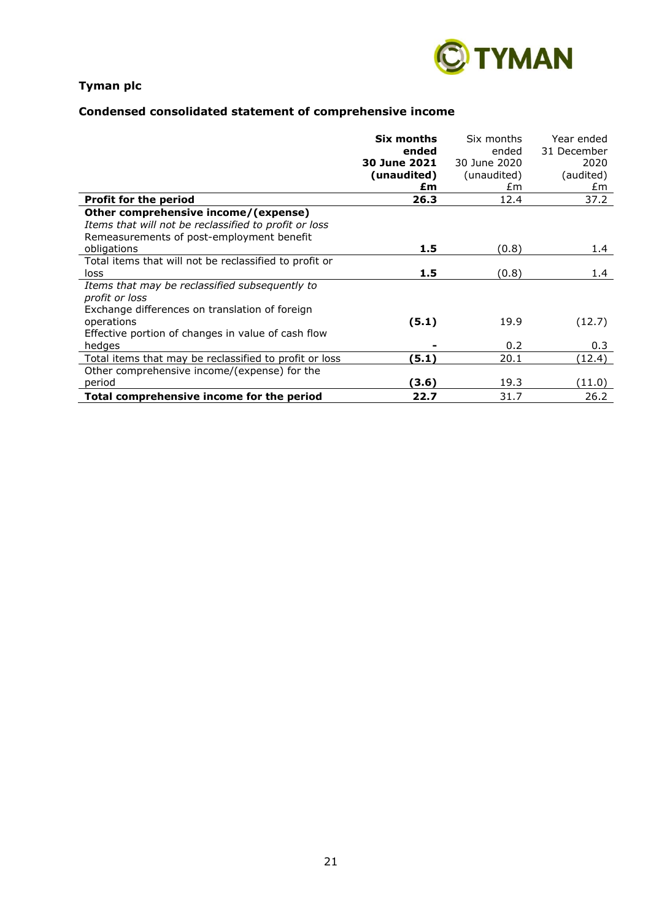

# **Condensed consolidated statement of comprehensive income**

|                                                        | Six months   | Six months   | Year ended  |
|--------------------------------------------------------|--------------|--------------|-------------|
|                                                        | ended        | ended        | 31 December |
|                                                        | 30 June 2021 | 30 June 2020 | 2020        |
|                                                        | (unaudited)  | (unaudited)  | (audited)   |
|                                                        | £m           | £m           | £m          |
| <b>Profit for the period</b>                           | 26.3         | 12.4         | 37.2        |
| Other comprehensive income/(expense)                   |              |              |             |
| Items that will not be reclassified to profit or loss  |              |              |             |
| Remeasurements of post-employment benefit              |              |              |             |
| obligations                                            | 1.5          | (0.8)        | 1.4         |
| Total items that will not be reclassified to profit or |              |              |             |
| loss                                                   | 1.5          | (0.8)        | 1.4         |
| Items that may be reclassified subsequently to         |              |              |             |
| profit or loss                                         |              |              |             |
| Exchange differences on translation of foreign         |              |              |             |
| operations                                             | (5.1)        | 19.9         | (12.7)      |
| Effective portion of changes in value of cash flow     |              |              |             |
| hedges                                                 |              | 0.2          | 0.3         |
| Total items that may be reclassified to profit or loss | (5.1)        | 20.1         | (12.4)      |
| Other comprehensive income/(expense) for the           |              |              |             |
| period                                                 | (3.6)        | 19.3         | (11.0)      |
| Total comprehensive income for the period              | 22.7         | 31.7         | 26.2        |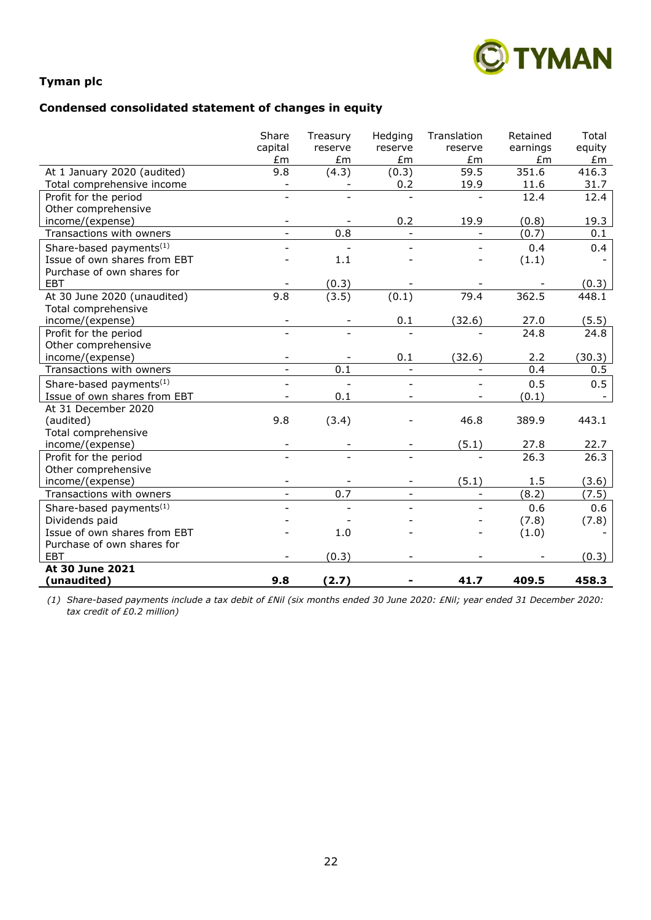

# **Condensed consolidated statement of changes in equity**

|                                     | Share<br>capital         | Treasury<br>reserve | Hedging<br>reserve       | Translation<br>reserve | Retained<br>earnings | Total<br>equity |
|-------------------------------------|--------------------------|---------------------|--------------------------|------------------------|----------------------|-----------------|
|                                     | Em                       | £m                  | £m                       | £m                     | £m                   | £m              |
| At 1 January 2020 (audited)         | 9.8                      | (4.3)               | (0.3)                    | 59.5                   | 351.6                | 416.3           |
| Total comprehensive income          |                          |                     | 0.2                      | 19.9                   | 11.6                 | 31.7            |
| Profit for the period               |                          |                     |                          |                        | 12.4                 | 12.4            |
| Other comprehensive                 |                          |                     |                          |                        |                      |                 |
| income/(expense)                    | $\qquad \qquad -$        |                     | 0.2                      | 19.9                   | (0.8)                | 19.3            |
| Transactions with owners            | $\overline{\phantom{a}}$ | 0.8                 |                          |                        | (0.7)                | 0.1             |
| Share-based payments <sup>(1)</sup> |                          |                     |                          |                        | 0.4                  | 0.4             |
| Issue of own shares from EBT        |                          | 1.1                 |                          |                        | (1.1)                |                 |
| Purchase of own shares for          |                          |                     |                          |                        |                      |                 |
| <b>EBT</b>                          |                          | (0.3)               |                          |                        |                      | (0.3)           |
| At 30 June 2020 (unaudited)         | 9.8                      | (3.5)               | (0.1)                    | 79.4                   | 362.5                | 448.1           |
| Total comprehensive                 |                          |                     |                          |                        |                      |                 |
| income/(expense)                    | $\qquad \qquad -$        |                     | 0.1                      | (32.6)                 | 27.0                 | (5.5)           |
| Profit for the period               |                          |                     |                          |                        | 24.8                 | 24.8            |
| Other comprehensive                 |                          |                     |                          |                        |                      |                 |
| income/(expense)                    | $\overline{\phantom{a}}$ |                     | 0.1                      | (32.6)                 | 2.2                  | (30.3)          |
| Transactions with owners            | $\equiv$                 | 0.1                 | $\overline{\phantom{a}}$ |                        | 0.4                  | 0.5             |
| Share-based payments <sup>(1)</sup> |                          |                     |                          |                        | 0.5                  | 0.5             |
| Issue of own shares from EBT        |                          | 0.1                 |                          |                        | (0.1)                |                 |
| At 31 December 2020                 |                          |                     |                          |                        |                      |                 |
| (audited)                           | 9.8                      | (3.4)               |                          | 46.8                   | 389.9                | 443.1           |
| Total comprehensive                 |                          |                     |                          |                        |                      |                 |
| income/(expense)                    |                          |                     |                          | (5.1)                  | 27.8                 | 22.7            |
| Profit for the period               |                          |                     |                          |                        | 26.3                 | 26.3            |
| Other comprehensive                 |                          |                     |                          |                        |                      |                 |
| income/(expense)                    |                          |                     |                          | (5.1)                  | 1.5                  | (3.6)           |
| Transactions with owners            |                          | 0.7                 |                          |                        | (8.2)                | (7.5)           |
| Share-based payments <sup>(1)</sup> |                          |                     |                          |                        | 0.6                  | 0.6             |
| Dividends paid                      |                          |                     |                          |                        | (7.8)                | (7.8)           |
| Issue of own shares from EBT        |                          | 1.0                 |                          |                        | (1.0)                |                 |
| Purchase of own shares for          |                          |                     |                          |                        |                      |                 |
| <b>EBT</b>                          |                          | (0.3)               |                          |                        |                      | (0.3)           |
| At 30 June 2021                     |                          |                     |                          |                        |                      |                 |
| (unaudited)                         | 9.8                      | (2.7)               |                          | 41.7                   | 409.5                | 458.3           |

*(1) Share-based payments include a tax debit of £Nil (six months ended 30 June 2020: £Nil; year ended 31 December 2020: tax credit of £0.2 million)*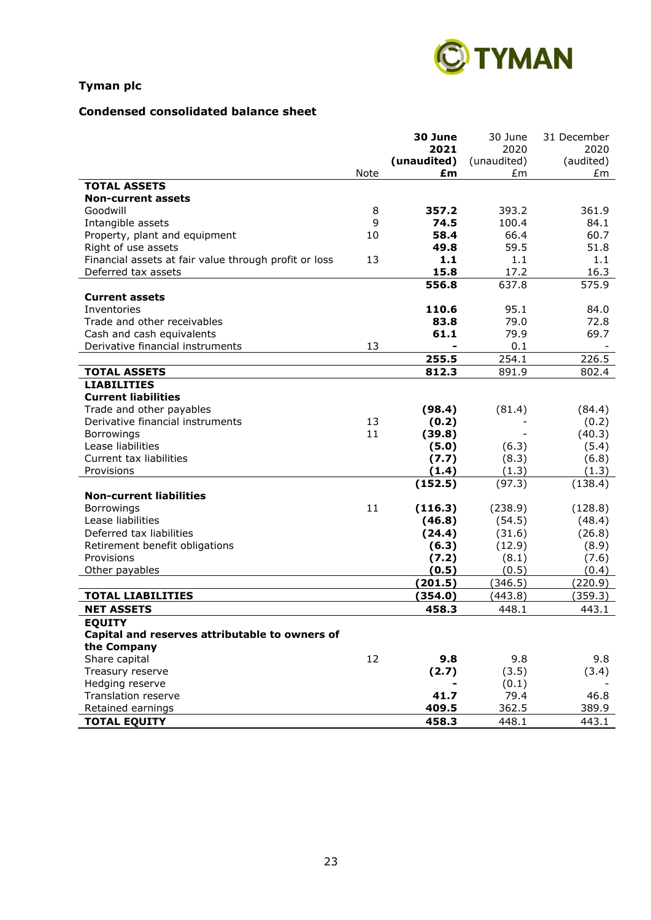

# **Condensed consolidated balance sheet**

|                                                       |      | 30 June     | 30 June     | 31 December |
|-------------------------------------------------------|------|-------------|-------------|-------------|
|                                                       |      | 2021        | 2020        | 2020        |
|                                                       |      | (unaudited) | (unaudited) | (audited)   |
|                                                       | Note | £m          | £m          | £m          |
| <b>TOTAL ASSETS</b>                                   |      |             |             |             |
| <b>Non-current assets</b>                             |      |             |             |             |
| Goodwill                                              | 8    | 357.2       | 393.2       | 361.9       |
| Intangible assets                                     | 9    | 74.5        | 100.4       | 84.1        |
| Property, plant and equipment                         | 10   | 58.4        | 66.4        | 60.7        |
| Right of use assets                                   |      | 49.8        | 59.5        | 51.8        |
| Financial assets at fair value through profit or loss | 13   | 1.1         | 1.1         | 1.1         |
| Deferred tax assets                                   |      | 15.8        | 17.2        | 16.3        |
|                                                       |      | 556.8       | 637.8       | 575.9       |
| <b>Current assets</b>                                 |      |             |             |             |
| Inventories                                           |      | 110.6       | 95.1        | 84.0        |
| Trade and other receivables                           |      | 83.8        | 79.0        | 72.8        |
| Cash and cash equivalents                             |      | 61.1        | 79.9        | 69.7        |
| Derivative financial instruments                      | 13   |             | 0.1         |             |
|                                                       |      | 255.5       | 254.1       | 226.5       |
| <b>TOTAL ASSETS</b>                                   |      | 812.3       | 891.9       | 802.4       |
| <b>LIABILITIES</b>                                    |      |             |             |             |
| <b>Current liabilities</b>                            |      |             |             |             |
| Trade and other payables                              |      | (98.4)      | (81.4)      | (84.4)      |
| Derivative financial instruments                      | 13   | (0.2)       |             | (0.2)       |
| Borrowings                                            | 11   | (39.8)      |             | (40.3)      |
| Lease liabilities                                     |      | (5.0)       | (6.3)       | (5.4)       |
| Current tax liabilities                               |      | (7.7)       | (8.3)       | (6.8)       |
| Provisions                                            |      | (1.4)       | (1.3)       | (1.3)       |
|                                                       |      | (152.5)     | (97.3)      | (138.4)     |
| <b>Non-current liabilities</b>                        |      |             |             |             |
| Borrowings                                            | 11   | (116.3)     | (238.9)     | (128.8)     |
| Lease liabilities                                     |      | (46.8)      | (54.5)      | (48.4)      |
| Deferred tax liabilities                              |      | (24.4)      | (31.6)      | (26.8)      |
| Retirement benefit obligations                        |      | (6.3)       | (12.9)      | (8.9)       |
| Provisions                                            |      | (7.2)       | (8.1)       | (7.6)       |
| Other payables                                        |      | (0.5)       | (0.5)       | (0.4)       |
|                                                       |      | (201.5)     | (346.5)     | (220.9)     |
| <b>TOTAL LIABILITIES</b>                              |      | (354.0)     | (443.8)     | (359.3)     |
| <b>NET ASSETS</b>                                     |      | 458.3       | 448.1       | 443.1       |
| <b>EQUITY</b>                                         |      |             |             |             |
| Capital and reserves attributable to owners of        |      |             |             |             |
| the Company                                           |      |             |             |             |
| Share capital                                         | 12   | 9.8         | 9.8         | 9.8         |
| Treasury reserve                                      |      | (2.7)       | (3.5)       | (3.4)       |
| Hedging reserve                                       |      |             | (0.1)       |             |
| Translation reserve                                   |      | 41.7        | 79.4        | 46.8        |
| Retained earnings                                     |      | 409.5       | 362.5       | 389.9       |
| <b>TOTAL EQUITY</b>                                   |      | 458.3       | 448.1       | 443.1       |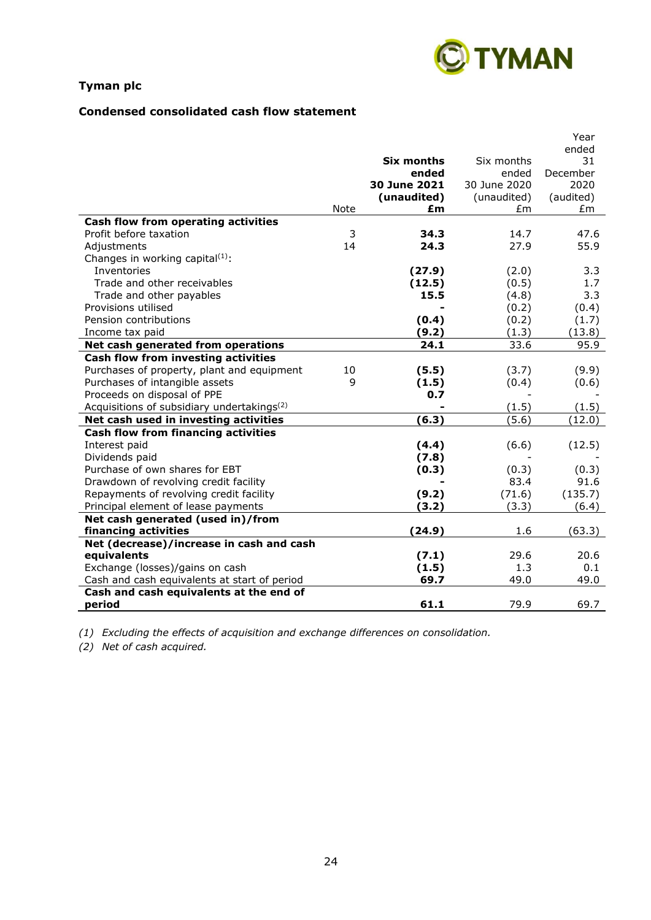

# **Condensed consolidated cash flow statement**

|                                                        |      |              |              | Year<br>ended |
|--------------------------------------------------------|------|--------------|--------------|---------------|
|                                                        |      | Six months   | Six months   | 31            |
|                                                        |      | ended        | ended        | December      |
|                                                        |      | 30 June 2021 | 30 June 2020 | 2020          |
|                                                        |      | (unaudited)  | (unaudited)  | (audited)     |
|                                                        | Note | £m           | £m           | £m            |
| Cash flow from operating activities                    |      |              |              |               |
| Profit before taxation                                 | 3    | 34.3         | 14.7         | 47.6          |
| Adjustments                                            | 14   | 24.3         | 27.9         | 55.9          |
| Changes in working capital <sup>(1)</sup> :            |      |              |              |               |
| Inventories                                            |      | (27.9)       | (2.0)        | 3.3           |
| Trade and other receivables                            |      | (12.5)       | (0.5)        | 1.7           |
| Trade and other payables                               |      | 15.5         | (4.8)        | 3.3           |
| Provisions utilised                                    |      |              | (0.2)        | (0.4)         |
| Pension contributions                                  |      | (0.4)        | (0.2)        | (1.7)         |
| Income tax paid                                        |      | (9.2)        | (1.3)        | (13.8)        |
| Net cash generated from operations                     |      | 24.1         | 33.6         | 95.9          |
| Cash flow from investing activities                    |      |              |              |               |
| Purchases of property, plant and equipment             | 10   | (5.5)        | (3.7)        | (9.9)         |
| Purchases of intangible assets                         | 9    | (1.5)        | (0.4)        | (0.6)         |
| Proceeds on disposal of PPE                            |      | 0.7          |              |               |
| Acquisitions of subsidiary undertakings <sup>(2)</sup> |      |              | (1.5)        | (1.5)         |
| Net cash used in investing activities                  |      | (6.3)        | (5.6)        | (12.0)        |
| <b>Cash flow from financing activities</b>             |      |              |              |               |
| Interest paid                                          |      | (4.4)        | (6.6)        | (12.5)        |
| Dividends paid                                         |      | (7.8)        |              |               |
| Purchase of own shares for EBT                         |      | (0.3)        | (0.3)        | (0.3)         |
| Drawdown of revolving credit facility                  |      |              | 83.4         | 91.6          |
| Repayments of revolving credit facility                |      | (9.2)        | (71.6)       | (135.7)       |
| Principal element of lease payments                    |      | (3.2)        | (3.3)        | (6.4)         |
| Net cash generated (used in)/from                      |      |              |              |               |
| financing activities                                   |      | (24.9)       | 1.6          | (63.3)        |
| Net (decrease)/increase in cash and cash               |      |              |              |               |
| equivalents                                            |      | (7.1)        | 29.6         | 20.6          |
| Exchange (losses)/gains on cash                        |      | (1.5)        | 1.3          | 0.1           |
| Cash and cash equivalents at start of period           |      | 69.7         | 49.0         | 49.0          |
| Cash and cash equivalents at the end of                |      |              |              |               |
| period                                                 |      | 61.1         | 79.9         | 69.7          |

*(1) Excluding the effects of acquisition and exchange differences on consolidation.*

*(2) Net of cash acquired.*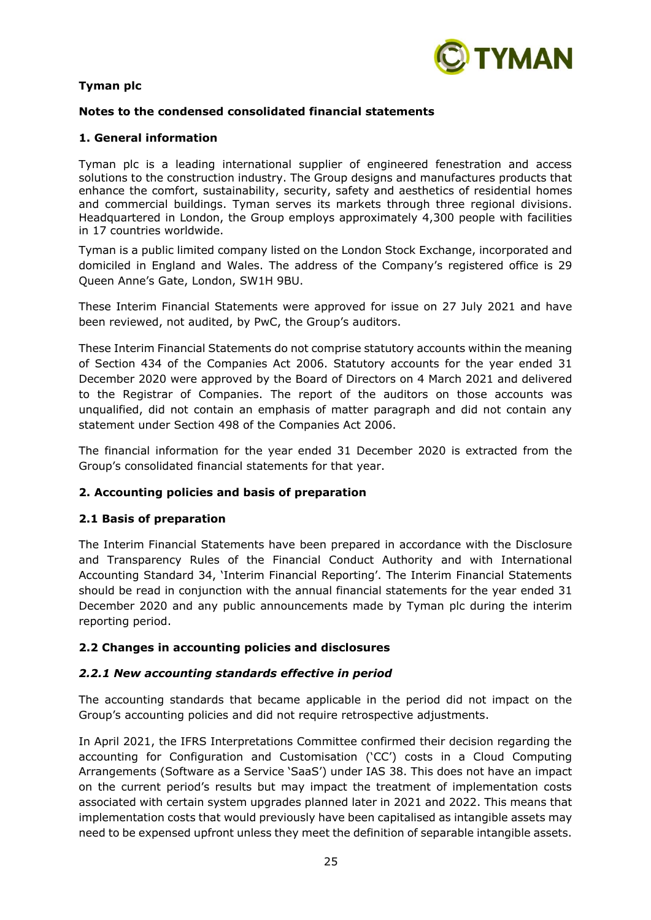

# **Notes to the condensed consolidated financial statements**

# **1. General information**

Tyman plc is a leading international supplier of engineered fenestration and access solutions to the construction industry. The Group designs and manufactures products that enhance the comfort, sustainability, security, safety and aesthetics of residential homes and commercial buildings. Tyman serves its markets through three regional divisions. Headquartered in London, the Group employs approximately 4,300 people with facilities in 17 countries worldwide.

Tyman is a public limited company listed on the London Stock Exchange, incorporated and domiciled in England and Wales. The address of the Company's registered office is 29 Queen Anne's Gate, London, SW1H 9BU.

These Interim Financial Statements were approved for issue on 27 July 2021 and have been reviewed, not audited, by PwC, the Group's auditors.

These Interim Financial Statements do not comprise statutory accounts within the meaning of Section 434 of the Companies Act 2006. Statutory accounts for the year ended 31 December 2020 were approved by the Board of Directors on 4 March 2021 and delivered to the Registrar of Companies. The report of the auditors on those accounts was unqualified, did not contain an emphasis of matter paragraph and did not contain any statement under Section 498 of the Companies Act 2006.

The financial information for the year ended 31 December 2020 is extracted from the Group's consolidated financial statements for that year.

# **2. Accounting policies and basis of preparation**

#### **2.1 Basis of preparation**

The Interim Financial Statements have been prepared in accordance with the Disclosure and Transparency Rules of the Financial Conduct Authority and with International Accounting Standard 34, 'Interim Financial Reporting'. The Interim Financial Statements should be read in conjunction with the annual financial statements for the year ended 31 December 2020 and any public announcements made by Tyman plc during the interim reporting period.

# **2.2 Changes in accounting policies and disclosures**

#### *2.2.1 New accounting standards effective in period*

The accounting standards that became applicable in the period did not impact on the Group's accounting policies and did not require retrospective adjustments.

In April 2021, the IFRS Interpretations Committee confirmed their decision regarding the accounting for Configuration and Customisation ('CC') costs in a Cloud Computing Arrangements (Software as a Service 'SaaS') under IAS 38. This does not have an impact on the current period's results but may impact the treatment of implementation costs associated with certain system upgrades planned later in 2021 and 2022. This means that implementation costs that would previously have been capitalised as intangible assets may need to be expensed upfront unless they meet the definition of separable intangible assets.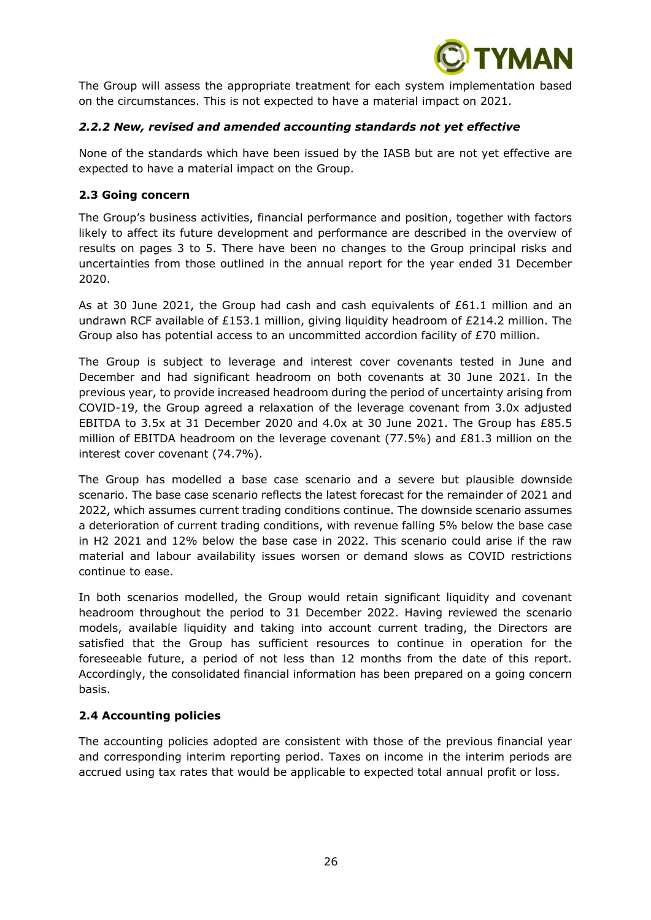

The Group will assess the appropriate treatment for each system implementation based on the circumstances. This is not expected to have a material impact on 2021.

# *2.2.2 New, revised and amended accounting standards not yet effective*

None of the standards which have been issued by the IASB but are not yet effective are expected to have a material impact on the Group.

# **2.3 Going concern**

The Group's business activities, financial performance and position, together with factors likely to affect its future development and performance are described in the overview of results on pages 3 to 5. There have been no changes to the Group principal risks and uncertainties from those outlined in the annual report for the year ended 31 December 2020.

As at 30 June 2021, the Group had cash and cash equivalents of £61.1 million and an undrawn RCF available of £153.1 million, giving liquidity headroom of £214.2 million. The Group also has potential access to an uncommitted accordion facility of £70 million.

The Group is subject to leverage and interest cover covenants tested in June and December and had significant headroom on both covenants at 30 June 2021. In the previous year, to provide increased headroom during the period of uncertainty arising from COVID-19, the Group agreed a relaxation of the leverage covenant from 3.0x adjusted EBITDA to 3.5x at 31 December 2020 and 4.0x at 30 June 2021. The Group has £85.5 million of EBITDA headroom on the leverage covenant (77.5%) and £81.3 million on the interest cover covenant (74.7%).

The Group has modelled a base case scenario and a severe but plausible downside scenario. The base case scenario reflects the latest forecast for the remainder of 2021 and 2022, which assumes current trading conditions continue. The downside scenario assumes a deterioration of current trading conditions, with revenue falling 5% below the base case in H2 2021 and 12% below the base case in 2022. This scenario could arise if the raw material and labour availability issues worsen or demand slows as COVID restrictions continue to ease.

In both scenarios modelled, the Group would retain significant liquidity and covenant headroom throughout the period to 31 December 2022. Having reviewed the scenario models, available liquidity and taking into account current trading, the Directors are satisfied that the Group has sufficient resources to continue in operation for the foreseeable future, a period of not less than 12 months from the date of this report. Accordingly, the consolidated financial information has been prepared on a going concern basis.

# **2.4 Accounting policies**

The accounting policies adopted are consistent with those of the previous financial year and corresponding interim reporting period. Taxes on income in the interim periods are accrued using tax rates that would be applicable to expected total annual profit or loss.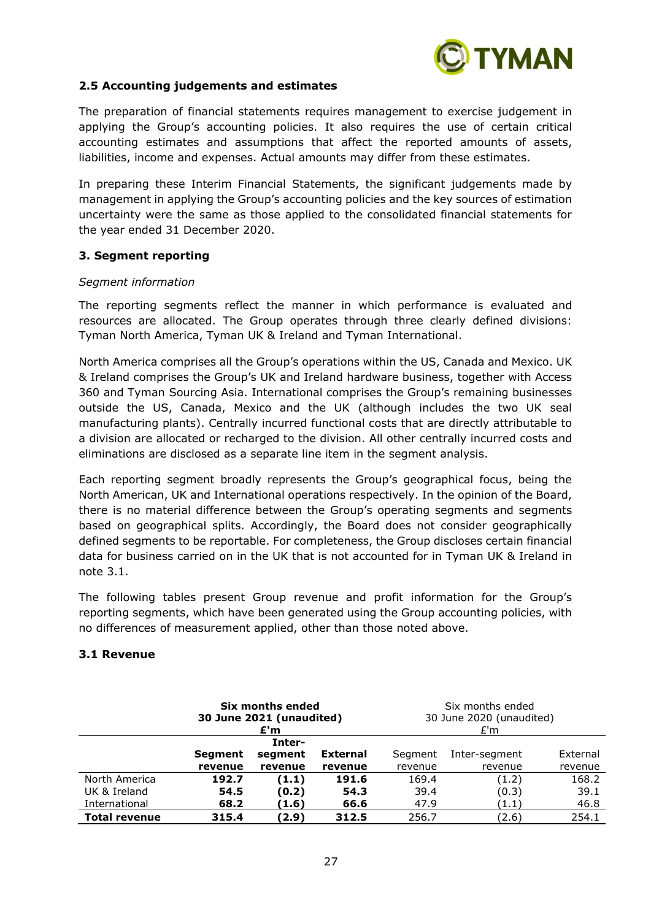

# **2.5 Accounting judgements and estimates**

The preparation of financial statements requires management to exercise judgement in applying the Group's accounting policies. It also requires the use of certain critical accounting estimates and assumptions that affect the reported amounts of assets, liabilities, income and expenses. Actual amounts may differ from these estimates.

In preparing these Interim Financial Statements, the significant judgements made by management in applying the Group's accounting policies and the key sources of estimation uncertainty were the same as those applied to the consolidated financial statements for the year ended 31 December 2020.

### **3. Segment reporting**

#### *Segment information*

The reporting segments reflect the manner in which performance is evaluated and resources are allocated. The Group operates through three clearly defined divisions: Tyman North America, Tyman UK & Ireland and Tyman International.

North America comprises all the Group's operations within the US, Canada and Mexico. UK & Ireland comprises the Group's UK and Ireland hardware business, together with Access 360 and Tyman Sourcing Asia. International comprises the Group's remaining businesses outside the US, Canada, Mexico and the UK (although includes the two UK seal manufacturing plants). Centrally incurred functional costs that are directly attributable to a division are allocated or recharged to the division. All other centrally incurred costs and eliminations are disclosed as a separate line item in the segment analysis.

Each reporting segment broadly represents the Group's geographical focus, being the North American, UK and International operations respectively. In the opinion of the Board, there is no material difference between the Group's operating segments and segments based on geographical splits. Accordingly, the Board does not consider geographically defined segments to be reportable. For completeness, the Group discloses certain financial data for business carried on in the UK that is not accounted for in Tyman UK & Ireland in note 3.1.

The following tables present Group revenue and profit information for the Group's reporting segments, which have been generated using the Group accounting policies, with no differences of measurement applied, other than those noted above.

#### **3.1 Revenue**

|                      | Six months ended<br>30 June 2021 (unaudited)<br>£'m |         | Six months ended<br>30 June 2020 (unaudited)<br>E'm |         |               |          |
|----------------------|-----------------------------------------------------|---------|-----------------------------------------------------|---------|---------------|----------|
| Inter-               |                                                     |         |                                                     |         |               |          |
|                      | <b>Segment</b>                                      | segment | <b>External</b>                                     | Segment | Inter-segment | External |
|                      | revenue                                             | revenue | revenue                                             | revenue | revenue       | revenue  |
| North America        | 192.7                                               | (1.1)   | 191.6                                               | 169.4   | (1.2)         | 168.2    |
| UK & Ireland         | 54.5                                                | (0.2)   | 54.3                                                | 39.4    | (0.3)         | 39.1     |
| International        | 68.2                                                | (1.6)   | 66.6                                                | 47.9    | (1.1)         | 46.8     |
| <b>Total revenue</b> | 315.4                                               | (2.9)   | 312.5                                               | 256.7   | (2.6)         | 254.1    |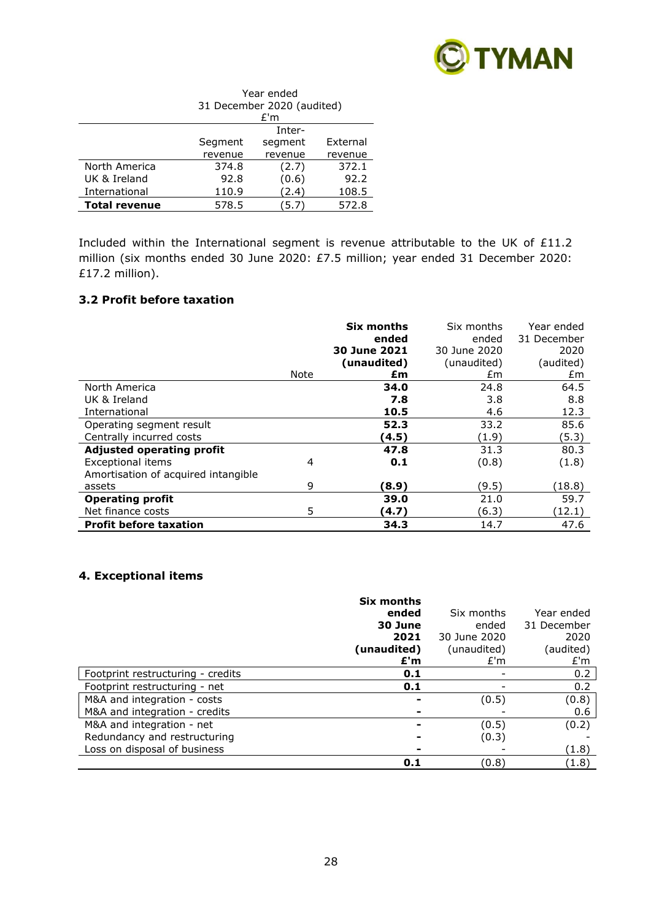

|                      | Year ended                    |         |          |  |  |
|----------------------|-------------------------------|---------|----------|--|--|
|                      | 31 December 2020 (audited)    |         |          |  |  |
|                      | £'m                           |         |          |  |  |
|                      | Inter-                        |         |          |  |  |
|                      | Segment                       | segment | External |  |  |
|                      | revenue<br>revenue<br>revenue |         |          |  |  |
| North America        | 374.8                         | (2.7)   | 372.1    |  |  |
| UK & Ireland         | 92.8                          | (0.6)   | 92.2     |  |  |
| International        | 110.9                         | (2.4)   | 108.5    |  |  |
| <b>Total revenue</b> | 578.5                         | (5.7    | 572.8    |  |  |

Included within the International segment is revenue attributable to the UK of £11.2 million (six months ended 30 June 2020: £7.5 million; year ended 31 December 2020: £17.2 million).

# **3.2 Profit before taxation**

|                                     |      | <b>Six months</b><br>ended<br>30 June 2021 | Six months<br>ended<br>30 June 2020 | Year ended<br>31 December<br>2020 |
|-------------------------------------|------|--------------------------------------------|-------------------------------------|-----------------------------------|
|                                     |      | (unaudited)                                | (unaudited)                         | (audited)                         |
|                                     | Note | £m                                         | £m                                  | £m                                |
| North America                       |      | 34.0                                       | 24.8                                | 64.5                              |
| UK & Ireland                        |      | 7.8                                        | 3.8                                 | 8.8                               |
| International                       |      | 10.5                                       | 4.6                                 | 12.3                              |
| Operating segment result            |      | 52.3                                       | 33.2                                | 85.6                              |
| Centrally incurred costs            |      | (4.5)                                      | (1.9)                               | (5.3)                             |
| <b>Adjusted operating profit</b>    |      | 47.8                                       | 31.3                                | 80.3                              |
| <b>Exceptional items</b>            | 4    | 0.1                                        | (0.8)                               | (1.8)                             |
| Amortisation of acquired intangible |      |                                            |                                     |                                   |
| assets                              | 9    | (8.9)                                      | (9.5)                               | (18.8)                            |
| <b>Operating profit</b>             |      | 39.0                                       | 21.0                                | 59.7                              |
| Net finance costs                   | 5    | (4.7)                                      | (6.3)                               | (12.1)                            |
| <b>Profit before taxation</b>       |      | 34.3                                       | 14.7                                | 47.6                              |

### **4. Exceptional items**

|                                   | Six months<br>ended<br>30 June<br>2021<br>(unaudited)<br>£'m | Six months<br>ended<br>30 June 2020<br>(unaudited)<br>E'm | Year ended<br>31 December<br>2020<br>(audited)<br>E'm |
|-----------------------------------|--------------------------------------------------------------|-----------------------------------------------------------|-------------------------------------------------------|
| Footprint restructuring - credits | 0.1                                                          |                                                           | 0.2                                                   |
| Footprint restructuring - net     | 0.1                                                          |                                                           | 0.2                                                   |
| M&A and integration - costs       |                                                              | (0.5)                                                     | (0.8)                                                 |
| M&A and integration - credits     |                                                              |                                                           | 0.6                                                   |
| M&A and integration - net         |                                                              | (0.5)                                                     | (0.2)                                                 |
| Redundancy and restructuring      |                                                              | (0.3)                                                     |                                                       |
| Loss on disposal of business      |                                                              |                                                           | (1.8)                                                 |
|                                   | 0.1                                                          | (0.8)                                                     | (1.8)                                                 |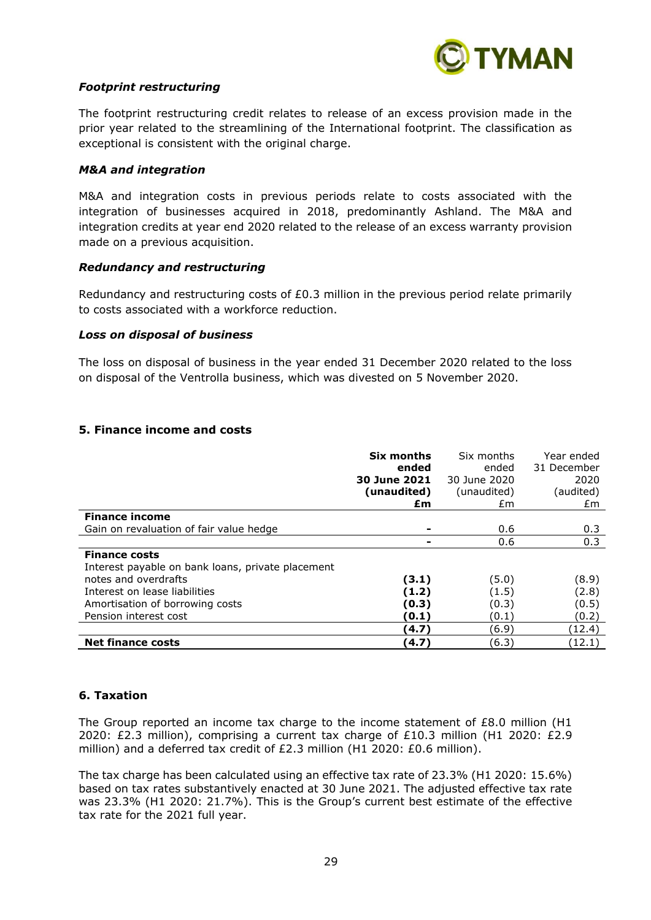

# *Footprint restructuring*

The footprint restructuring credit relates to release of an excess provision made in the prior year related to the streamlining of the International footprint. The classification as exceptional is consistent with the original charge.

#### *M&A and integration*

M&A and integration costs in previous periods relate to costs associated with the integration of businesses acquired in 2018, predominantly Ashland. The M&A and integration credits at year end 2020 related to the release of an excess warranty provision made on a previous acquisition.

### *Redundancy and restructuring*

Redundancy and restructuring costs of £0.3 million in the previous period relate primarily to costs associated with a workforce reduction.

### *Loss on disposal of business*

The loss on disposal of business in the year ended 31 December 2020 related to the loss on disposal of the Ventrolla business, which was divested on 5 November 2020.

### **5. Finance income and costs**

|                                                   | Six months   | Six months   | Year ended  |
|---------------------------------------------------|--------------|--------------|-------------|
|                                                   | ended        | ended        | 31 December |
|                                                   | 30 June 2021 | 30 June 2020 | 2020        |
|                                                   | (unaudited)  | (unaudited)  | (audited)   |
|                                                   | £m           | £m           | £m          |
| <b>Finance income</b>                             |              |              |             |
| Gain on revaluation of fair value hedge           |              | 0.6          | 0.3         |
|                                                   |              | 0.6          | 0.3         |
| <b>Finance costs</b>                              |              |              |             |
| Interest payable on bank loans, private placement |              |              |             |
| notes and overdrafts                              | (3.1)        | (5.0)        | (8.9)       |
| Interest on lease liabilities                     | (1.2)        | (1.5)        | (2.8)       |
| Amortisation of borrowing costs                   | (0.3)        | (0.3)        | (0.5)       |
| Pension interest cost                             | (0.1)        | (0.1)        | (0.2)       |
|                                                   | (4.7)        | (6.9)        | (12.4)      |
| <b>Net finance costs</b>                          | (4.7)        | (6.3)        | (12.1)      |

#### **6. Taxation**

The Group reported an income tax charge to the income statement of £8.0 million (H1 2020: £2.3 million), comprising a current tax charge of £10.3 million (H1 2020: £2.9 million) and a deferred tax credit of £2.3 million (H1 2020: £0.6 million).

The tax charge has been calculated using an effective tax rate of 23.3% (H1 2020: 15.6%) based on tax rates substantively enacted at 30 June 2021. The adjusted effective tax rate was 23.3% (H1 2020: 21.7%). This is the Group's current best estimate of the effective tax rate for the 2021 full year.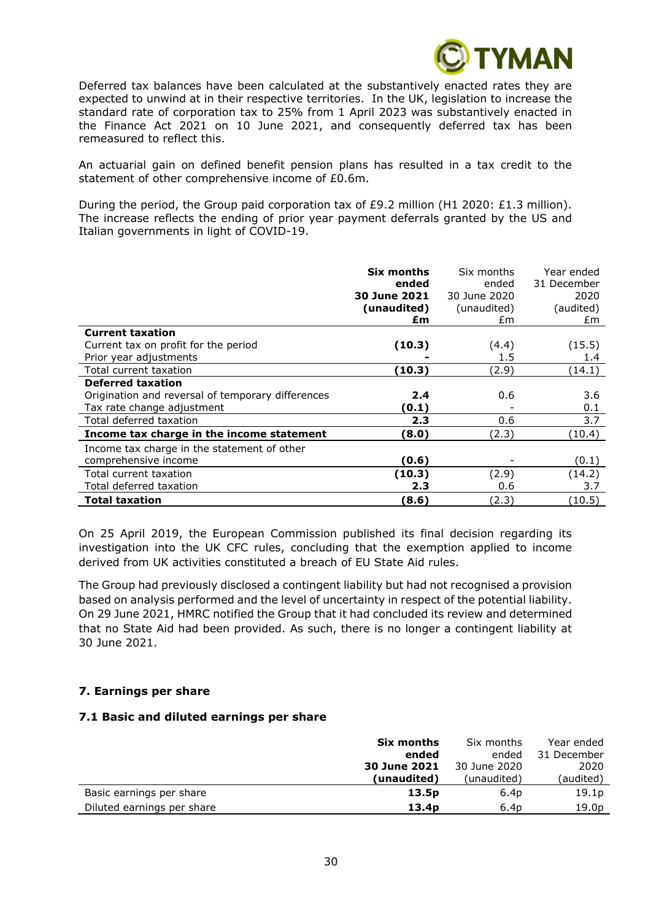

Deferred tax balances have been calculated at the substantively enacted rates they are expected to unwind at in their respective territories. In the UK, legislation to increase the standard rate of corporation tax to 25% from 1 April 2023 was substantively enacted in the Finance Act 2021 on 10 June 2021, and consequently deferred tax has been remeasured to reflect this.

An actuarial gain on defined benefit pension plans has resulted in a tax credit to the statement of other comprehensive income of £0.6m.

During the period, the Group paid corporation tax of £9.2 million (H1 2020: £1.3 million). The increase reflects the ending of prior year payment deferrals granted by the US and Italian governments in light of COVID-19.

|                                                   | Six months<br>ended<br>30 June 2021<br>(unaudited)<br>£m | Six months<br>ended<br>30 June 2020<br>(unaudited)<br>£m | Year ended<br>31 December<br>2020<br>(audited)<br>£m |
|---------------------------------------------------|----------------------------------------------------------|----------------------------------------------------------|------------------------------------------------------|
| <b>Current taxation</b>                           |                                                          |                                                          |                                                      |
| Current tax on profit for the period              | (10.3)                                                   | (4.4)                                                    | (15.5)                                               |
| Prior year adjustments                            |                                                          | 1.5                                                      | 1.4                                                  |
| Total current taxation                            | (10.3)                                                   | (2.9)                                                    | (14.1)                                               |
| <b>Deferred taxation</b>                          |                                                          |                                                          |                                                      |
| Origination and reversal of temporary differences | 2.4                                                      | 0.6                                                      | 3.6                                                  |
| Tax rate change adjustment                        | (0.1)                                                    |                                                          | 0.1                                                  |
| Total deferred taxation                           | 2.3                                                      | 0.6                                                      | 3.7                                                  |
| Income tax charge in the income statement         | 8.0)                                                     | (2.3)                                                    | (10.4)                                               |
| Income tax charge in the statement of other       |                                                          |                                                          |                                                      |
| comprehensive income                              | (0.6)                                                    |                                                          | (0.1)                                                |
| Total current taxation                            | (10.3)                                                   | (2.9)                                                    | (14.2)                                               |
| Total deferred taxation                           | 2.3                                                      | 0.6                                                      | 3.7                                                  |
| Total taxation                                    | (8.6)                                                    | (2.3)                                                    | (10.5)                                               |

On 25 April 2019, the European Commission published its final decision regarding its investigation into the UK CFC rules, concluding that the exemption applied to income derived from UK activities constituted a breach of EU State Aid rules.

The Group had previously disclosed a contingent liability but had not recognised a provision based on analysis performed and the level of uncertainty in respect of the potential liability. On 29 June 2021, HMRC notified the Group that it had concluded its review and determined that no State Aid had been provided. As such, there is no longer a contingent liability at 30 June 2021.

#### **7. Earnings per share**

#### **7.1 Basic and diluted earnings per share**

|                            | Six months        | Six months       | Year ended        |
|----------------------------|-------------------|------------------|-------------------|
|                            | ended             | ended            | 31 December       |
|                            | 30 June 2021      | 30 June 2020     | 2020              |
|                            | (unaudited)       | (unaudited)      | (audited)         |
| Basic earnings per share   | 13.5p             | 6.4 <sub>D</sub> | 19.1 <sub>p</sub> |
| Diluted earnings per share | 13.4 <sub>p</sub> | 6.4 <sub>D</sub> | 19.0 <sub>p</sub> |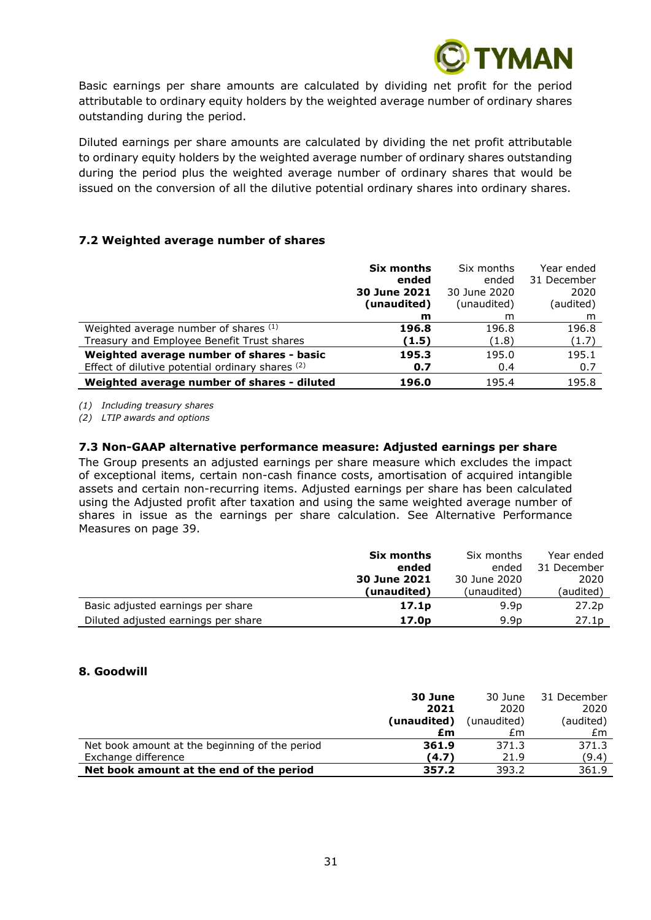

Basic earnings per share amounts are calculated by dividing net profit for the period attributable to ordinary equity holders by the weighted average number of ordinary shares outstanding during the period.

Diluted earnings per share amounts are calculated by dividing the net profit attributable to ordinary equity holders by the weighted average number of ordinary shares outstanding during the period plus the weighted average number of ordinary shares that would be issued on the conversion of all the dilutive potential ordinary shares into ordinary shares.

# **7.2 Weighted average number of shares**

|                                                  | Six months<br>ended<br>30 June 2021 | Six months<br>ended<br>30 June 2020 | Year ended<br>31 December<br>2020 |
|--------------------------------------------------|-------------------------------------|-------------------------------------|-----------------------------------|
|                                                  | (unaudited)                         | (unaudited)                         | (audited)                         |
|                                                  | m                                   | m                                   | m                                 |
| Weighted average number of shares (1)            | 196.8                               | 196.8                               | 196.8                             |
| Treasury and Employee Benefit Trust shares       | (1.5)                               | (1.8)                               | (1.7)                             |
| Weighted average number of shares - basic        | 195.3                               | 195.0                               | 195.1                             |
| Effect of dilutive potential ordinary shares (2) | 0.7                                 | 0.4                                 | 0.7                               |
| Weighted average number of shares - diluted      | 196.0                               | 195.4                               | 195.8                             |

*(1) Including treasury shares*

*(2) LTIP awards and options*

### **7.3 Non-GAAP alternative performance measure: Adjusted earnings per share**

The Group presents an adjusted earnings per share measure which excludes the impact of exceptional items, certain non-cash finance costs, amortisation of acquired intangible assets and certain non-recurring items. Adjusted earnings per share has been calculated using the Adjusted profit after taxation and using the same weighted average number of shares in issue as the earnings per share calculation. See Alternative Performance Measures on page 39.

|                                     | Six months        | Six months       | Year ended  |
|-------------------------------------|-------------------|------------------|-------------|
|                                     | ended             | ended            | 31 December |
|                                     | 30 June 2021      | 30 June 2020     | 2020        |
|                                     | (unaudited)       | (unaudited)      | (audited)   |
| Basic adjusted earnings per share   | 17.1 <sub>p</sub> | 9.9 <sub>p</sub> | 27.2p       |
| Diluted adjusted earnings per share | 17.0 <sub>p</sub> | 9.9 <sub>D</sub> | 27.1p       |

#### **8. Goodwill**

|                                                | 30 June     | 30 June     | 31 December |
|------------------------------------------------|-------------|-------------|-------------|
|                                                | 2021        | 2020        | 2020        |
|                                                | (unaudited) | (unaudited) | (audited)   |
|                                                | £m          | £m          | £m          |
| Net book amount at the beginning of the period | 361.9       | 371.3       | 371.3       |
| Exchange difference                            | (4.7)       | 21.9        | (9.4)       |
| Net book amount at the end of the period       | 357.2       | 393.2       | 361.9       |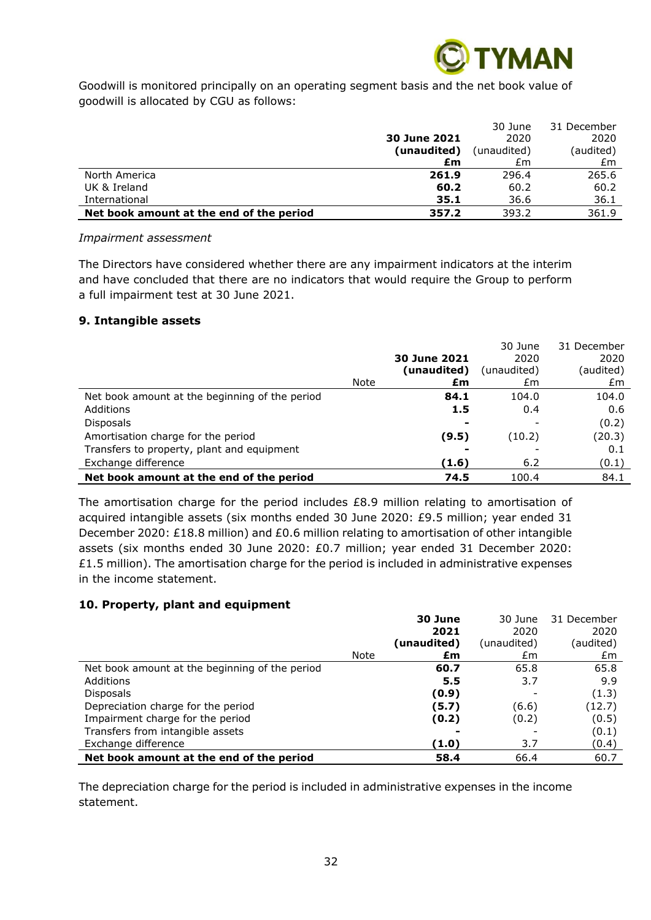

Goodwill is monitored principally on an operating segment basis and the net book value of goodwill is allocated by CGU as follows:

|                                          |              | 30 June     | 31 December |
|------------------------------------------|--------------|-------------|-------------|
|                                          | 30 June 2021 | 2020        | 2020        |
|                                          | (unaudited)  | (unaudited) | (audited)   |
|                                          | £m           | £m          | £m          |
| North America                            | 261.9        | 296.4       | 265.6       |
| UK & Ireland                             | 60.2         | 60.2        | 60.2        |
| International                            | 35.1         | 36.6        | 36.1        |
| Net book amount at the end of the period | 357.2        | 393.2       | 361.9       |

#### *Impairment assessment*

The Directors have considered whether there are any impairment indicators at the interim and have concluded that there are no indicators that would require the Group to perform a full impairment test at 30 June 2021.

### **9. Intangible assets**

|                                                |      |                     | 30 June     | 31 December |
|------------------------------------------------|------|---------------------|-------------|-------------|
|                                                |      | <b>30 June 2021</b> | 2020        | 2020        |
|                                                |      | (unaudited)         | (unaudited) | (audited)   |
|                                                | Note | £m                  | £m          | £m          |
| Net book amount at the beginning of the period |      | 84.1                | 104.0       | 104.0       |
| Additions                                      |      | 1.5                 | 0.4         | 0.6         |
| <b>Disposals</b>                               |      |                     |             | (0.2)       |
| Amortisation charge for the period             |      | (9.5)               | (10.2)      | (20.3)      |
| Transfers to property, plant and equipment     |      |                     |             | 0.1         |
| Exchange difference                            |      | (1.6)               | 6.2         | (0.1)       |
| Net book amount at the end of the period       |      | 74.5                | 100.4       | 84.1        |

The amortisation charge for the period includes £8.9 million relating to amortisation of acquired intangible assets (six months ended 30 June 2020: £9.5 million; year ended 31 December 2020: £18.8 million) and £0.6 million relating to amortisation of other intangible assets (six months ended 30 June 2020: £0.7 million; year ended 31 December 2020:  $£1.5$  million). The amortisation charge for the period is included in administrative expenses in the income statement.

#### **10. Property, plant and equipment**

|                                                |      | 30 June     | 30 June     | 31 December |
|------------------------------------------------|------|-------------|-------------|-------------|
|                                                |      | 2021        | 2020        | 2020        |
|                                                |      | (unaudited) | (unaudited) | (audited)   |
|                                                | Note | £m          | £m          | £m          |
| Net book amount at the beginning of the period |      | 60.7        | 65.8        | 65.8        |
| Additions                                      |      | 5.5         | 3.7         | 9.9         |
| <b>Disposals</b>                               |      | (0.9)       |             | (1.3)       |
| Depreciation charge for the period             |      | (5.7)       | (6.6)       | (12.7)      |
| Impairment charge for the period               |      | (0.2)       | (0.2)       | (0.5)       |
| Transfers from intangible assets               |      |             |             | (0.1)       |
| Exchange difference                            |      | (1.0)       | 3.7         | (0.4)       |
| Net book amount at the end of the period       |      | 58.4        | 66.4        | 60.7        |

The depreciation charge for the period is included in administrative expenses in the income statement.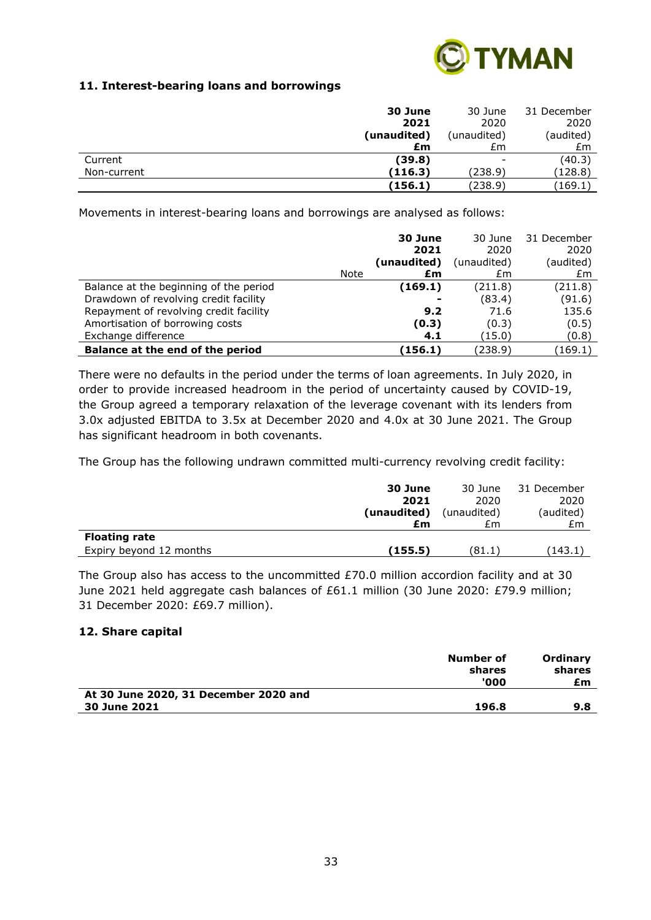

# **11. Interest-bearing loans and borrowings**

|             | 30 June     | 30 June           | 31 December |
|-------------|-------------|-------------------|-------------|
|             | 2021        | 2020              | 2020        |
|             | (unaudited) | (unaudited)       | (audited)   |
|             | £m          | £m                | £m          |
| Current     | (39.8)      | $\qquad \qquad -$ | (40.3)      |
| Non-current | (116.3)     | (238.9)           | (128.8)     |
|             | (156.1)     | (238.9)           | (169.1)     |

Movements in interest-bearing loans and borrowings are analysed as follows:

|                                        |             | 30 June<br>2021 | 30 June<br>2020 | 31 December<br>2020 |
|----------------------------------------|-------------|-----------------|-----------------|---------------------|
|                                        |             | (unaudited)     | (unaudited)     | (audited)           |
|                                        | <b>Note</b> | £m              | £m              | £m                  |
| Balance at the beginning of the period |             | (169.1)         | (211.8)         | (211.8)             |
| Drawdown of revolving credit facility  |             |                 | (83.4)          | (91.6)              |
| Repayment of revolving credit facility |             | 9.2             | 71.6            | 135.6               |
| Amortisation of borrowing costs        |             | (0.3)           | (0.3)           | (0.5)               |
| Exchange difference                    |             | 4.1             | (15.0)          | (0.8)               |
| Balance at the end of the period       |             | (156.1)         | (238.9)         | (169.1)             |

There were no defaults in the period under the terms of loan agreements. In July 2020, in order to provide increased headroom in the period of uncertainty caused by COVID-19, the Group agreed a temporary relaxation of the leverage covenant with its lenders from 3.0x adjusted EBITDA to 3.5x at December 2020 and 4.0x at 30 June 2021. The Group has significant headroom in both covenants.

The Group has the following undrawn committed multi-currency revolving credit facility:

|                         | 30 June     | 30 June     | 31 December |
|-------------------------|-------------|-------------|-------------|
|                         | 2021        | 2020        | 2020        |
|                         | (unaudited) | (unaudited) | (audited)   |
|                         | £m          | £m          | £m          |
| <b>Floating rate</b>    |             |             |             |
| Expiry beyond 12 months | (155.5)     | (81.1`      | (143.1)     |

The Group also has access to the uncommitted £70.0 million accordion facility and at 30 June 2021 held aggregate cash balances of £61.1 million (30 June 2020: £79.9 million; 31 December 2020: £69.7 million).

# **12. Share capital**

|                                       | Number of<br>shares<br>'000 | Ordinary<br>shares<br>£m |
|---------------------------------------|-----------------------------|--------------------------|
| At 30 June 2020, 31 December 2020 and |                             |                          |
| <b>30 June 2021</b>                   | 196.8                       | 9.8                      |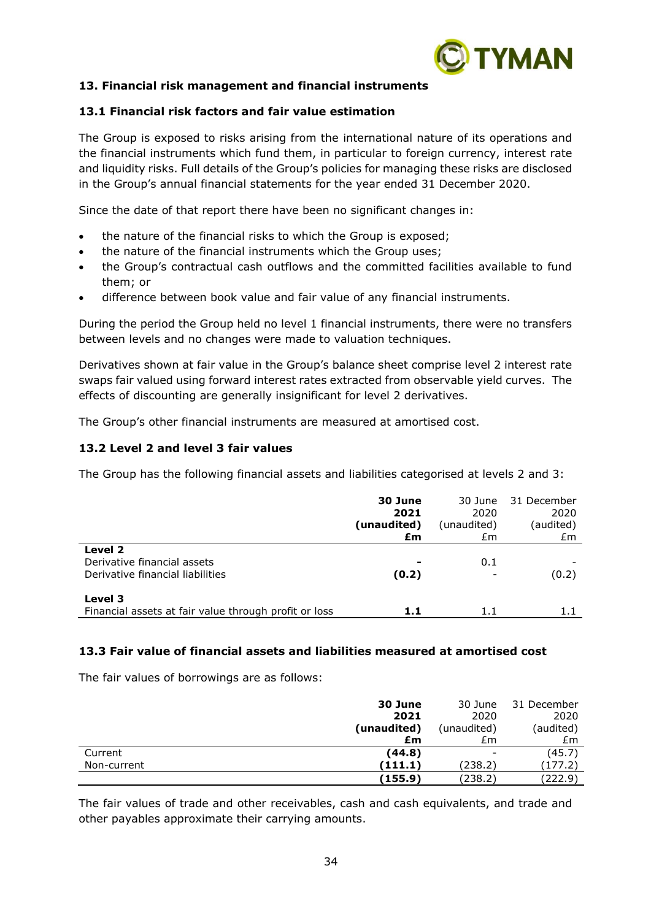

# **13. Financial risk management and financial instruments**

### **13.1 Financial risk factors and fair value estimation**

The Group is exposed to risks arising from the international nature of its operations and the financial instruments which fund them, in particular to foreign currency, interest rate and liquidity risks. Full details of the Group's policies for managing these risks are disclosed in the Group's annual financial statements for the year ended 31 December 2020.

Since the date of that report there have been no significant changes in:

- the nature of the financial risks to which the Group is exposed;
- the nature of the financial instruments which the Group uses;
- the Group's contractual cash outflows and the committed facilities available to fund them; or
- difference between book value and fair value of any financial instruments.

During the period the Group held no level 1 financial instruments, there were no transfers between levels and no changes were made to valuation techniques.

Derivatives shown at fair value in the Group's balance sheet comprise level 2 interest rate swaps fair valued using forward interest rates extracted from observable yield curves. The effects of discounting are generally insignificant for level 2 derivatives.

The Group's other financial instruments are measured at amortised cost.

# **13.2 Level 2 and level 3 fair values**

The Group has the following financial assets and liabilities categorised at levels 2 and 3:

|                                                                            | 30 June<br>2021<br>(unaudited) | 30 June<br>2020<br>(unaudited) | 31 December<br>2020<br>(audited) |
|----------------------------------------------------------------------------|--------------------------------|--------------------------------|----------------------------------|
|                                                                            | £m                             | £m                             | £m                               |
| Level 2<br>Derivative financial assets<br>Derivative financial liabilities | (0.2)                          | 0.1                            | (0.2)                            |
| Level 3<br>Financial assets at fair value through profit or loss           | 1.1                            | 1.1                            | 1.1                              |

#### **13.3 Fair value of financial assets and liabilities measured at amortised cost**

The fair values of borrowings are as follows:

|             | 30 June     | 30 June                  | 31 December |
|-------------|-------------|--------------------------|-------------|
|             | 2021        | 2020                     | 2020        |
|             | (unaudited) | (unaudited)              | (audited)   |
|             | £m          | £m                       | £m          |
| Current     | (44.8)      | $\overline{\phantom{a}}$ | (45.7)      |
| Non-current | (111.1)     | (238.2)                  | (177.2)     |
|             | (155.9)     | (238.2)                  | (222.9)     |

The fair values of trade and other receivables, cash and cash equivalents, and trade and other payables approximate their carrying amounts.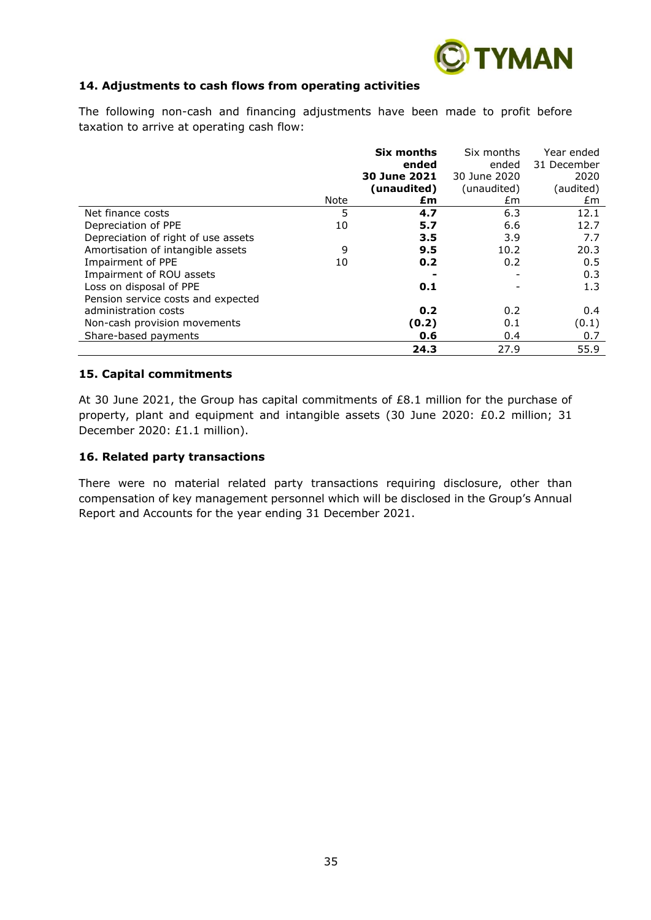

# **14. Adjustments to cash flows from operating activities**

The following non-cash and financing adjustments have been made to profit before taxation to arrive at operating cash flow:

|                                     |      | Six months   | Six months   | Year ended  |
|-------------------------------------|------|--------------|--------------|-------------|
|                                     |      | ended        | ended        | 31 December |
|                                     |      | 30 June 2021 | 30 June 2020 | 2020        |
|                                     |      | (unaudited)  | (unaudited)  | (audited)   |
|                                     | Note | £m           | £m           | £m          |
| Net finance costs                   | 5    | 4.7          | 6.3          | 12.1        |
| Depreciation of PPE                 | 10   | 5.7          | 6.6          | 12.7        |
| Depreciation of right of use assets |      | 3.5          | 3.9          | 7.7         |
| Amortisation of intangible assets   | 9    | 9.5          | 10.2         | 20.3        |
| Impairment of PPE                   | 10   | 0.2          | 0.2          | 0.5         |
| Impairment of ROU assets            |      |              |              | 0.3         |
| Loss on disposal of PPE             |      | 0.1          |              | 1.3         |
| Pension service costs and expected  |      |              |              |             |
| administration costs                |      | 0.2          | 0.2          | 0.4         |
| Non-cash provision movements        |      | (0.2)        | 0.1          | (0.1)       |
| Share-based payments                |      | 0.6          | 0.4          | 0.7         |
|                                     |      | 24.3         | 27.9         | 55.9        |

#### **15. Capital commitments**

At 30 June 2021, the Group has capital commitments of £8.1 million for the purchase of property, plant and equipment and intangible assets (30 June 2020: £0.2 million; 31 December 2020: £1.1 million).

### **16. Related party transactions**

There were no material related party transactions requiring disclosure, other than compensation of key management personnel which will be disclosed in the Group's Annual Report and Accounts for the year ending 31 December 2021.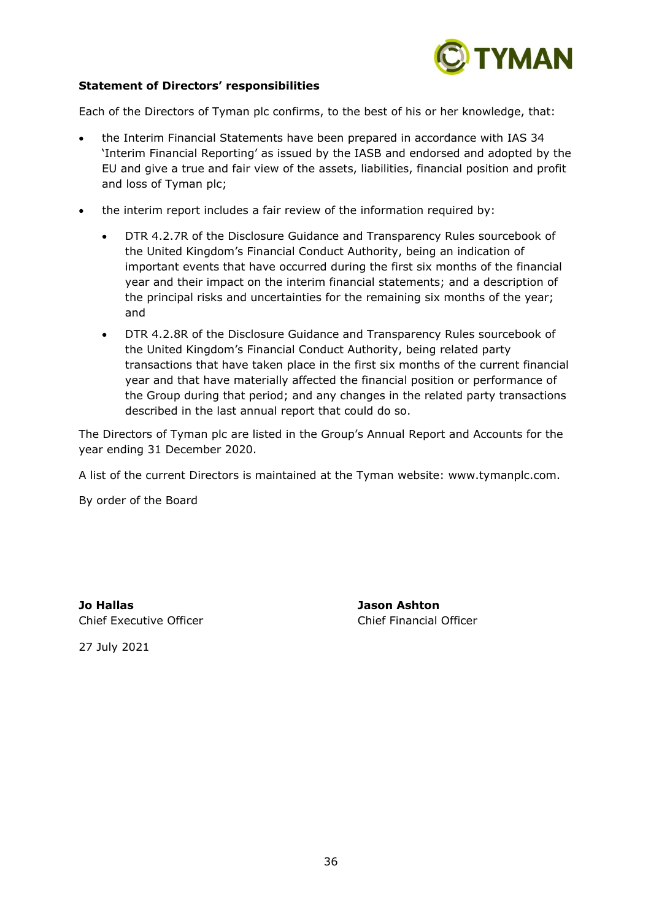

### **Statement of Directors' responsibilities**

Each of the Directors of Tyman plc confirms, to the best of his or her knowledge, that:

- the Interim Financial Statements have been prepared in accordance with IAS 34 'Interim Financial Reporting' as issued by the IASB and endorsed and adopted by the EU and give a true and fair view of the assets, liabilities, financial position and profit and loss of Tyman plc;
- the interim report includes a fair review of the information required by:
	- DTR 4.2.7R of the Disclosure Guidance and Transparency Rules sourcebook of the United Kingdom's Financial Conduct Authority, being an indication of important events that have occurred during the first six months of the financial year and their impact on the interim financial statements; and a description of the principal risks and uncertainties for the remaining six months of the year; and
	- DTR 4.2.8R of the Disclosure Guidance and Transparency Rules sourcebook of the United Kingdom's Financial Conduct Authority, being related party transactions that have taken place in the first six months of the current financial year and that have materially affected the financial position or performance of the Group during that period; and any changes in the related party transactions described in the last annual report that could do so.

The Directors of Tyman plc are listed in the Group's Annual Report and Accounts for the year ending 31 December 2020.

A list of the current Directors is maintained at the Tyman website: www.tymanplc.com.

By order of the Board

**Jo Hallas Jason Ashton** Chief Executive Officer Chief Financial Officer

27 July 2021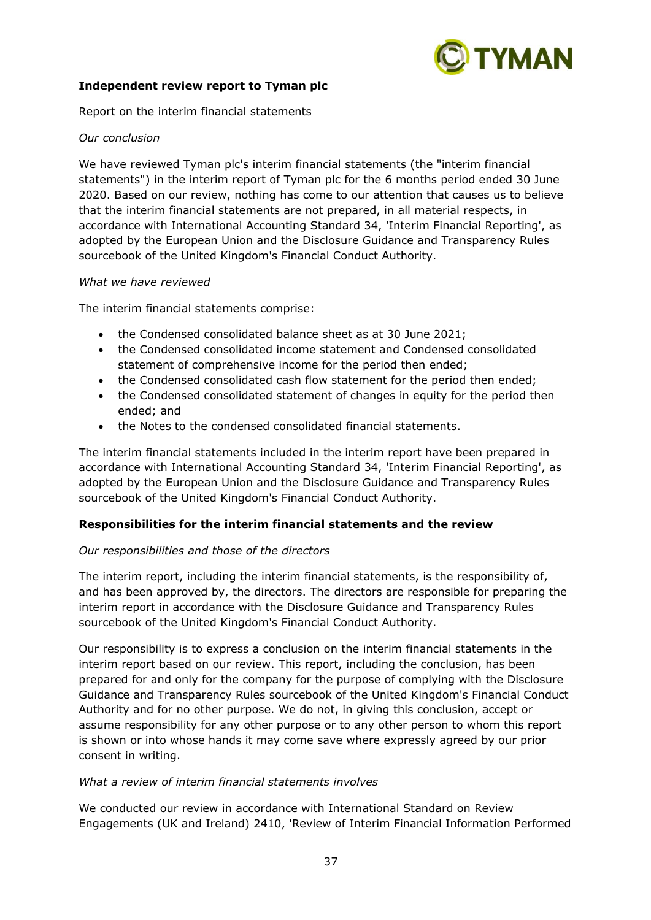

# **Independent review report to Tyman plc**

Report on the interim financial statements

# *Our conclusion*

We have reviewed Tyman plc's interim financial statements (the "interim financial statements") in the interim report of Tyman plc for the 6 months period ended 30 June 2020. Based on our review, nothing has come to our attention that causes us to believe that the interim financial statements are not prepared, in all material respects, in accordance with International Accounting Standard 34, 'Interim Financial Reporting', as adopted by the European Union and the Disclosure Guidance and Transparency Rules sourcebook of the United Kingdom's Financial Conduct Authority.

# *What we have reviewed*

The interim financial statements comprise:

- the Condensed consolidated balance sheet as at 30 June 2021;
- the Condensed consolidated income statement and Condensed consolidated statement of comprehensive income for the period then ended;
- the Condensed consolidated cash flow statement for the period then ended;
- the Condensed consolidated statement of changes in equity for the period then ended; and
- the Notes to the condensed consolidated financial statements.

The interim financial statements included in the interim report have been prepared in accordance with International Accounting Standard 34, 'Interim Financial Reporting', as adopted by the European Union and the Disclosure Guidance and Transparency Rules sourcebook of the United Kingdom's Financial Conduct Authority.

# **Responsibilities for the interim financial statements and the review**

# *Our responsibilities and those of the directors*

The interim report, including the interim financial statements, is the responsibility of, and has been approved by, the directors. The directors are responsible for preparing the interim report in accordance with the Disclosure Guidance and Transparency Rules sourcebook of the United Kingdom's Financial Conduct Authority.

Our responsibility is to express a conclusion on the interim financial statements in the interim report based on our review. This report, including the conclusion, has been prepared for and only for the company for the purpose of complying with the Disclosure Guidance and Transparency Rules sourcebook of the United Kingdom's Financial Conduct Authority and for no other purpose. We do not, in giving this conclusion, accept or assume responsibility for any other purpose or to any other person to whom this report is shown or into whose hands it may come save where expressly agreed by our prior consent in writing.

#### *What a review of interim financial statements involves*

We conducted our review in accordance with International Standard on Review Engagements (UK and Ireland) 2410, 'Review of Interim Financial Information Performed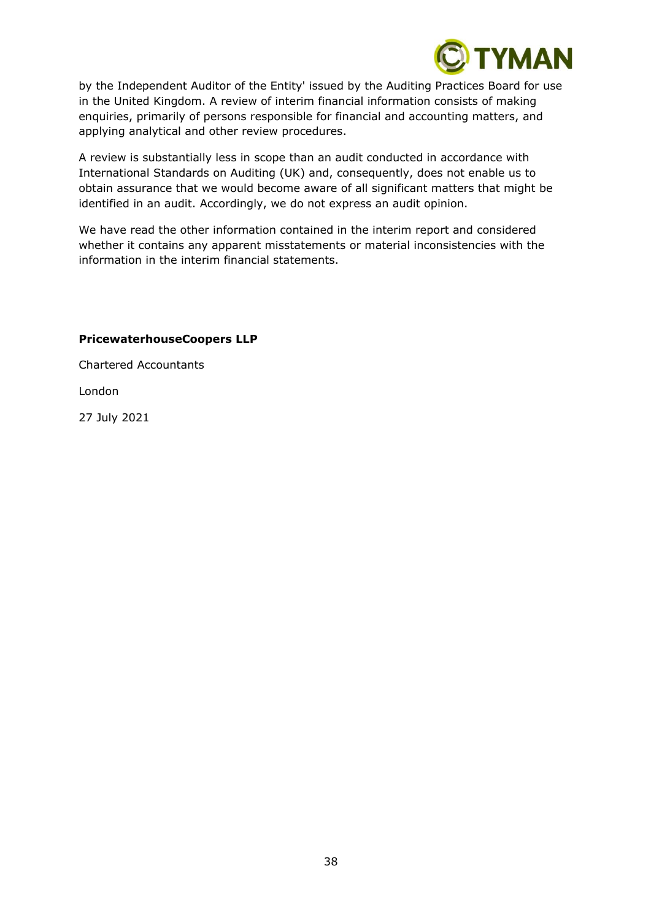

by the Independent Auditor of the Entity' issued by the Auditing Practices Board for use in the United Kingdom. A review of interim financial information consists of making enquiries, primarily of persons responsible for financial and accounting matters, and applying analytical and other review procedures.

A review is substantially less in scope than an audit conducted in accordance with International Standards on Auditing (UK) and, consequently, does not enable us to obtain assurance that we would become aware of all significant matters that might be identified in an audit. Accordingly, we do not express an audit opinion.

We have read the other information contained in the interim report and considered whether it contains any apparent misstatements or material inconsistencies with the information in the interim financial statements.

# **PricewaterhouseCoopers LLP**

Chartered Accountants

London

27 July 2021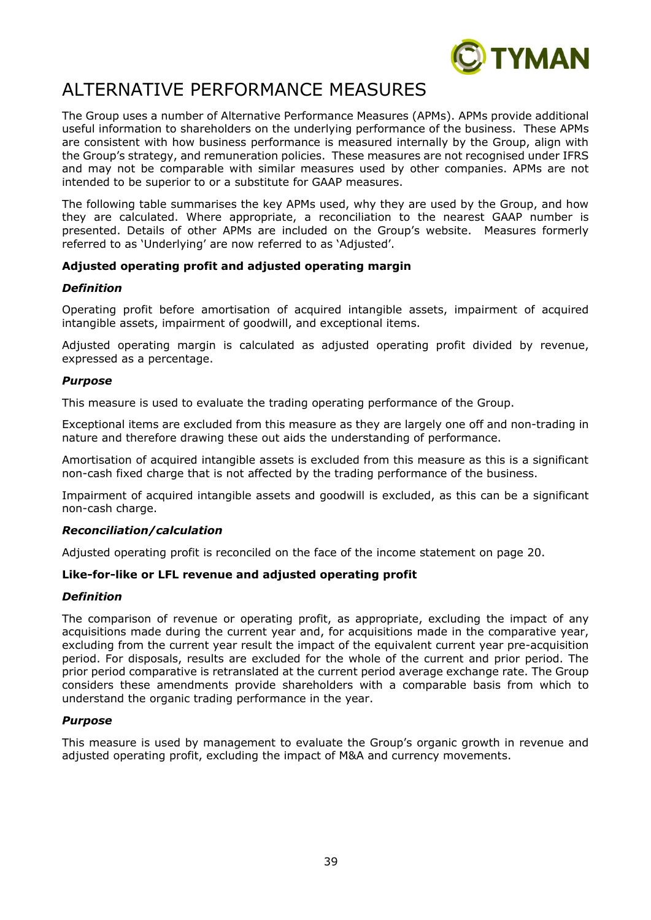

# ALTERNATIVE PERFORMANCE MEASURES

The Group uses a number of Alternative Performance Measures (APMs). APMs provide additional useful information to shareholders on the underlying performance of the business. These APMs are consistent with how business performance is measured internally by the Group, align with the Group's strategy, and remuneration policies. These measures are not recognised under IFRS and may not be comparable with similar measures used by other companies. APMs are not intended to be superior to or a substitute for GAAP measures.

The following table summarises the key APMs used, why they are used by the Group, and how they are calculated. Where appropriate, a reconciliation to the nearest GAAP number is presented. Details of other APMs are included on the Group's website. Measures formerly referred to as 'Underlying' are now referred to as 'Adjusted'.

# **Adjusted operating profit and adjusted operating margin**

### *Definition*

Operating profit before amortisation of acquired intangible assets, impairment of acquired intangible assets, impairment of goodwill, and exceptional items.

Adjusted operating margin is calculated as adjusted operating profit divided by revenue, expressed as a percentage.

### *Purpose*

This measure is used to evaluate the trading operating performance of the Group.

Exceptional items are excluded from this measure as they are largely one off and non-trading in nature and therefore drawing these out aids the understanding of performance.

Amortisation of acquired intangible assets is excluded from this measure as this is a significant non-cash fixed charge that is not affected by the trading performance of the business.

Impairment of acquired intangible assets and goodwill is excluded, as this can be a significant non-cash charge.

# *Reconciliation/calculation*

Adjusted operating profit is reconciled on the face of the income statement on page 20.

# **Like-for-like or LFL revenue and adjusted operating profit**

#### *Definition*

The comparison of revenue or operating profit, as appropriate, excluding the impact of any acquisitions made during the current year and, for acquisitions made in the comparative year, excluding from the current year result the impact of the equivalent current year pre-acquisition period. For disposals, results are excluded for the whole of the current and prior period. The prior period comparative is retranslated at the current period average exchange rate. The Group considers these amendments provide shareholders with a comparable basis from which to understand the organic trading performance in the year.

#### *Purpose*

This measure is used by management to evaluate the Group's organic growth in revenue and adjusted operating profit, excluding the impact of M&A and currency movements.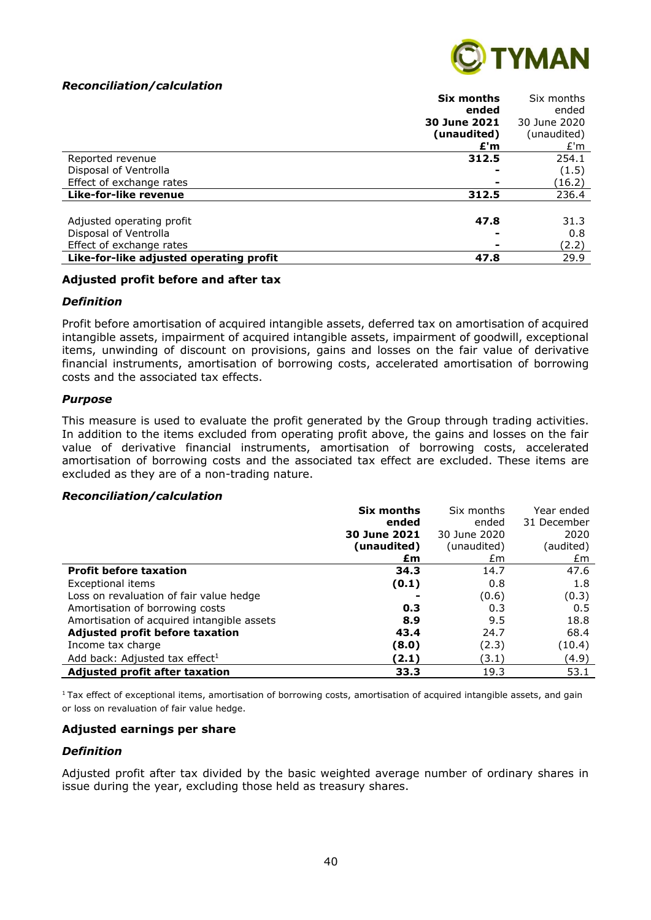### *Reconciliation/calculation*



|                                         | Six months   | Six months   |
|-----------------------------------------|--------------|--------------|
|                                         | ended        | ended        |
|                                         | 30 June 2021 | 30 June 2020 |
|                                         | (unaudited)  | (unaudited)  |
|                                         | £'m          | E'm          |
| Reported revenue                        | 312.5        | 254.1        |
| Disposal of Ventrolla                   |              | (1.5)        |
| Effect of exchange rates                |              | (16.2)       |
| Like-for-like revenue                   | 312.5        | 236.4        |
|                                         |              |              |
| Adjusted operating profit               | 47.8         | 31.3         |
| Disposal of Ventrolla                   |              | 0.8          |
| Effect of exchange rates                |              | (2.2)        |
| Like-for-like adjusted operating profit | 47.8         | 29.9         |

#### **Adjusted profit before and after tax**

#### *Definition*

Profit before amortisation of acquired intangible assets, deferred tax on amortisation of acquired intangible assets, impairment of acquired intangible assets, impairment of goodwill, exceptional items, unwinding of discount on provisions, gains and losses on the fair value of derivative financial instruments, amortisation of borrowing costs, accelerated amortisation of borrowing costs and the associated tax effects.

#### *Purpose*

This measure is used to evaluate the profit generated by the Group through trading activities. In addition to the items excluded from operating profit above, the gains and losses on the fair value of derivative financial instruments, amortisation of borrowing costs, accelerated amortisation of borrowing costs and the associated tax effect are excluded. These items are excluded as they are of a non-trading nature.

#### *Reconciliation/calculation*

|                                            | <b>Six months</b> | Six months   | Year ended  |
|--------------------------------------------|-------------------|--------------|-------------|
|                                            | ended             | ended        | 31 December |
|                                            | 30 June 2021      | 30 June 2020 | 2020        |
|                                            | (unaudited)       | (unaudited)  | (audited)   |
|                                            | £m                | £m           | £m          |
| <b>Profit before taxation</b>              | 34.3              | 14.7         | 47.6        |
| Exceptional items                          | (0.1)             | 0.8          | 1.8         |
| Loss on revaluation of fair value hedge    |                   | (0.6)        | (0.3)       |
| Amortisation of borrowing costs            | 0.3               | 0.3          | 0.5         |
| Amortisation of acquired intangible assets | 8.9               | 9.5          | 18.8        |
| Adjusted profit before taxation            | 43.4              | 24.7         | 68.4        |
| Income tax charge                          | (8.0)             | (2.3)        | (10.4)      |
| Add back: Adjusted tax effect <sup>1</sup> | (2.1)             | (3.1)        | (4.9)       |
| Adjusted profit after taxation             | 33.3              | 19.3         | 53.1        |

 $1$ Tax effect of exceptional items, amortisation of borrowing costs, amortisation of acquired intangible assets, and gain or loss on revaluation of fair value hedge.

#### **Adjusted earnings per share**

#### *Definition*

Adjusted profit after tax divided by the basic weighted average number of ordinary shares in issue during the year, excluding those held as treasury shares.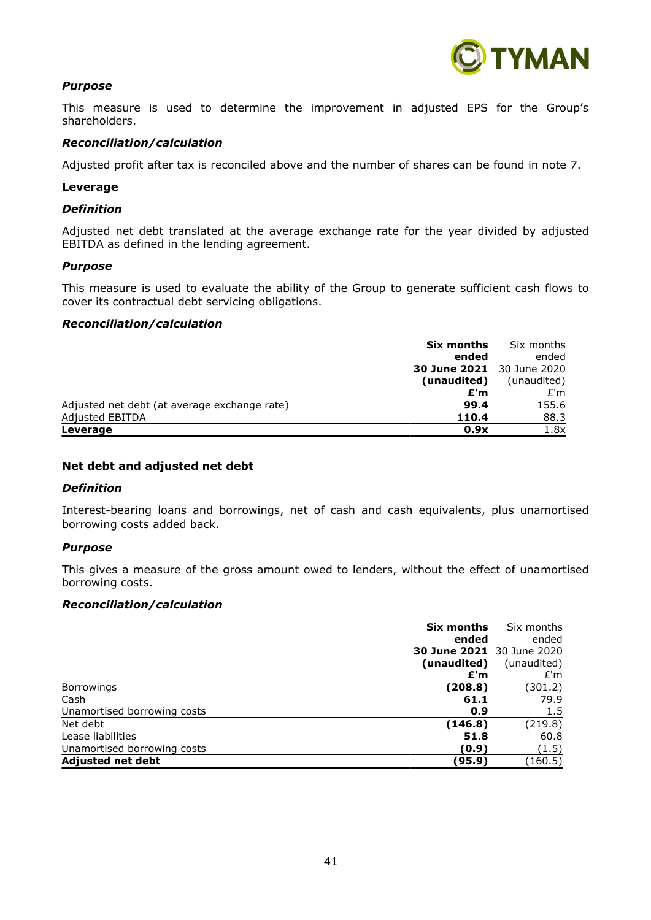

# *Purpose*

This measure is used to determine the improvement in adjusted EPS for the Group's shareholders.

#### *Reconciliation/calculation*

Adjusted profit after tax is reconciled above and the number of shares can be found in note 7.

#### **Leverage**

#### *Definition*

Adjusted net debt translated at the average exchange rate for the year divided by adjusted EBITDA as defined in the lending agreement.

#### *Purpose*

This measure is used to evaluate the ability of the Group to generate sufficient cash flows to cover its contractual debt servicing obligations.

#### *Reconciliation/calculation*

| Six months                                           | Six months  |
|------------------------------------------------------|-------------|
| ended                                                | ended       |
| <b>30 June 2021</b> 30 June 2020                     |             |
| (unaudited)                                          | (unaudited) |
| £'m                                                  | E'm         |
| Adjusted net debt (at average exchange rate)<br>99.4 | 155.6       |
| Adjusted EBITDA<br>110.4                             | 88.3        |
| 0.9x<br>Leverage                                     | 1.8x        |

#### **Net debt and adjusted net debt**

#### *Definition*

Interest-bearing loans and borrowings, net of cash and cash equivalents, plus unamortised borrowing costs added back.

#### *Purpose*

This gives a measure of the gross amount owed to lenders, without the effect of unamortised borrowing costs.

#### *Reconciliation/calculation*

|                             | Six months  | Six months                       |
|-----------------------------|-------------|----------------------------------|
|                             | ended       | ended                            |
|                             |             | <b>30 June 2021</b> 30 June 2020 |
|                             | (unaudited) | (unaudited)                      |
|                             | £'m         | E'm                              |
| Borrowings                  | (208.8)     | (301.2)                          |
| Cash                        | 61.1        | 79.9                             |
| Unamortised borrowing costs | 0.9         | 1.5                              |
| Net debt                    | (146.8)     | (219.8)                          |
| Lease liabilities           | 51.8        | 60.8                             |
| Unamortised borrowing costs | (0.9)       | (1.5)                            |
| <b>Adjusted net debt</b>    | (95.9)      | (160.5)                          |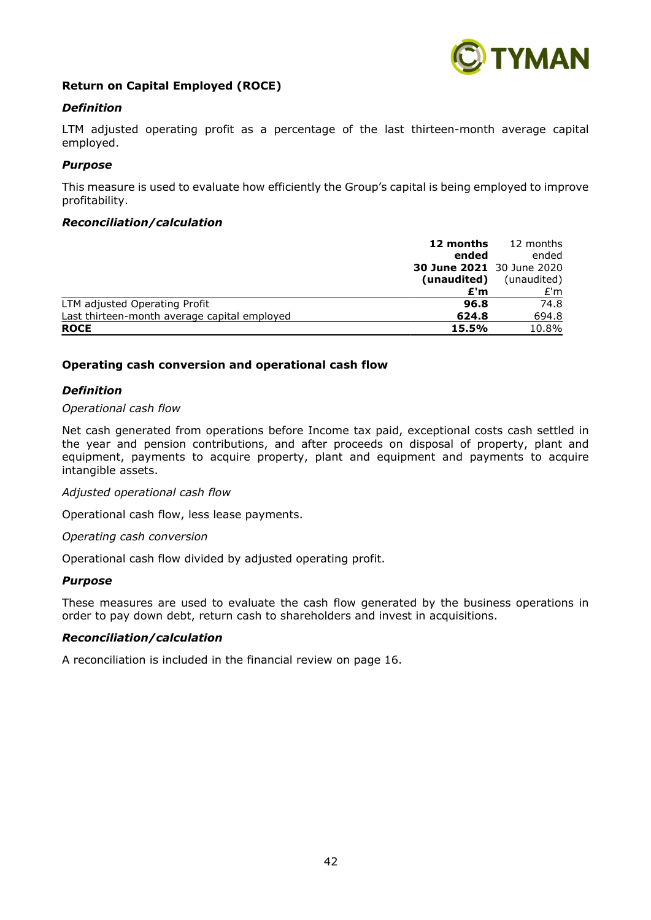

# **Return on Capital Employed (ROCE)**

### *Definition*

LTM adjusted operating profit as a percentage of the last thirteen-month average capital employed.

#### *Purpose*

This measure is used to evaluate how efficiently the Group's capital is being employed to improve profitability.

#### *Reconciliation/calculation*

| 12 months                                             | 12 months   |
|-------------------------------------------------------|-------------|
| ended                                                 | ended       |
| <b>30 June 2021</b> 30 June 2020                      |             |
| (unaudited)                                           | (unaudited) |
| £'m                                                   | E'm         |
| 96.8<br>LTM adjusted Operating Profit                 | 74.8        |
| Last thirteen-month average capital employed<br>624.8 | 694.8       |
| <b>ROCE</b><br>15.5%                                  | 10.8%       |

### **Operating cash conversion and operational cash flow**

### *Definition*

#### *Operational cash flow*

Net cash generated from operations before Income tax paid, exceptional costs cash settled in the year and pension contributions, and after proceeds on disposal of property, plant and equipment, payments to acquire property, plant and equipment and payments to acquire intangible assets.

#### *Adjusted operational cash flow*

Operational cash flow, less lease payments.

*Operating cash conversion*

Operational cash flow divided by adjusted operating profit.

#### *Purpose*

These measures are used to evaluate the cash flow generated by the business operations in order to pay down debt, return cash to shareholders and invest in acquisitions.

#### *Reconciliation/calculation*

A reconciliation is included in the financial review on page 16.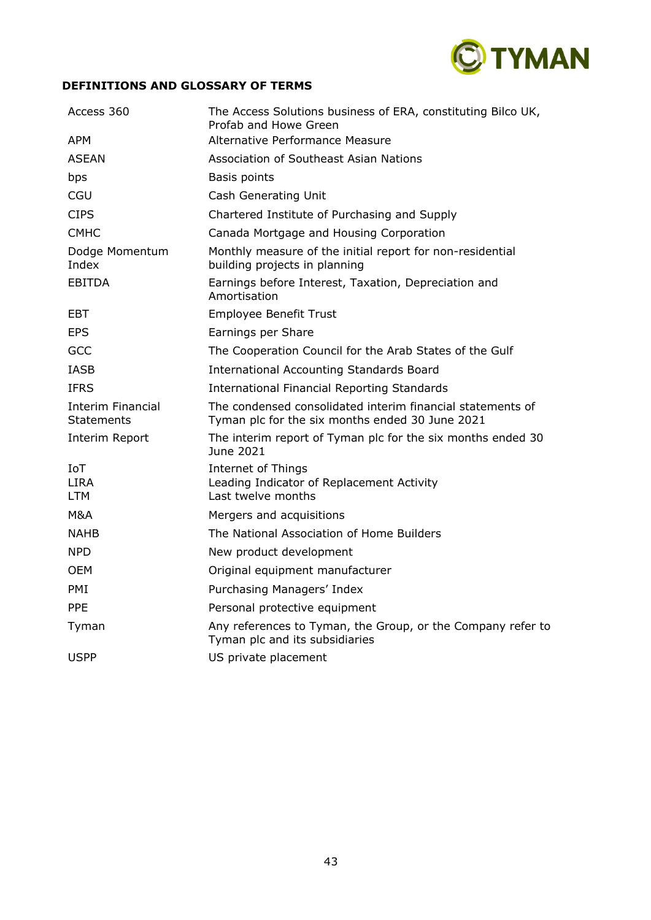

# **DEFINITIONS AND GLOSSARY OF TERMS**

| Access 360                              | The Access Solutions business of ERA, constituting Bilco UK,<br>Profab and Howe Green                         |
|-----------------------------------------|---------------------------------------------------------------------------------------------------------------|
| <b>APM</b>                              | Alternative Performance Measure                                                                               |
| <b>ASEAN</b>                            | Association of Southeast Asian Nations                                                                        |
| bps                                     | Basis points                                                                                                  |
| CGU                                     | Cash Generating Unit                                                                                          |
| <b>CIPS</b>                             | Chartered Institute of Purchasing and Supply                                                                  |
| <b>CMHC</b>                             | Canada Mortgage and Housing Corporation                                                                       |
| Dodge Momentum<br>Index                 | Monthly measure of the initial report for non-residential<br>building projects in planning                    |
| <b>EBITDA</b>                           | Earnings before Interest, Taxation, Depreciation and<br>Amortisation                                          |
| <b>EBT</b>                              | Employee Benefit Trust                                                                                        |
| <b>EPS</b>                              | Earnings per Share                                                                                            |
| GCC                                     | The Cooperation Council for the Arab States of the Gulf                                                       |
| <b>IASB</b>                             | <b>International Accounting Standards Board</b>                                                               |
| <b>IFRS</b>                             | <b>International Financial Reporting Standards</b>                                                            |
| Interim Financial<br><b>Statements</b>  | The condensed consolidated interim financial statements of<br>Tyman plc for the six months ended 30 June 2021 |
| Interim Report                          | The interim report of Tyman plc for the six months ended 30<br>June 2021                                      |
| <b>IoT</b><br><b>LIRA</b><br><b>LTM</b> | <b>Internet of Things</b><br>Leading Indicator of Replacement Activity<br>Last twelve months                  |
| M&A                                     | Mergers and acquisitions                                                                                      |
| <b>NAHB</b>                             | The National Association of Home Builders                                                                     |
| <b>NPD</b>                              | New product development                                                                                       |
| <b>OEM</b>                              | Original equipment manufacturer                                                                               |
| <b>PMI</b>                              | Purchasing Managers' Index                                                                                    |
| <b>PPF</b>                              | Personal protective equipment                                                                                 |
| Tyman                                   | Any references to Tyman, the Group, or the Company refer to<br>Tyman plc and its subsidiaries                 |
| <b>USPP</b>                             | US private placement                                                                                          |